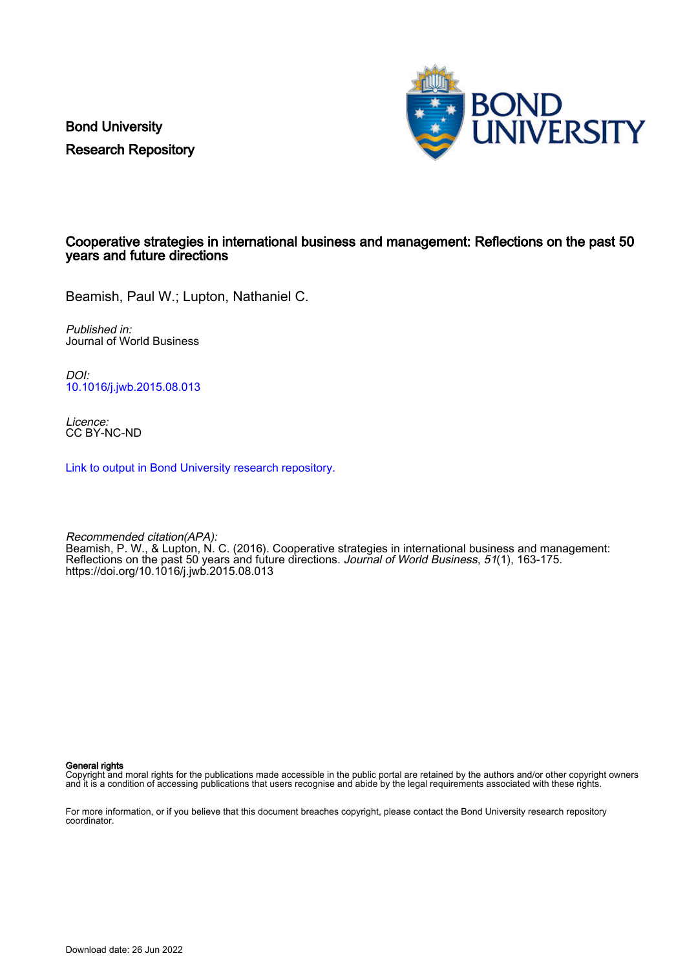Bond University Research Repository



# Cooperative strategies in international business and management: Reflections on the past 50 years and future directions

Beamish, Paul W.; Lupton, Nathaniel C.

Published in: Journal of World Business

DOI: [10.1016/j.jwb.2015.08.013](https://doi.org/10.1016/j.jwb.2015.08.013)

Licence: CC BY-NC-ND

[Link to output in Bond University research repository.](https://research.bond.edu.au/en/publications/10533af2-0897-459e-87ae-af116e41de80)

Recommended citation(APA): Beamish, P. W., & Lupton, N. C. (2016). Cooperative strategies in international business and management: Reflections on the past 50 years and future directions. Journal of World Business, 51(1), 163-175. <https://doi.org/10.1016/j.jwb.2015.08.013>

General rights

Copyright and moral rights for the publications made accessible in the public portal are retained by the authors and/or other copyright owners and it is a condition of accessing publications that users recognise and abide by the legal requirements associated with these rights.

For more information, or if you believe that this document breaches copyright, please contact the Bond University research repository coordinator.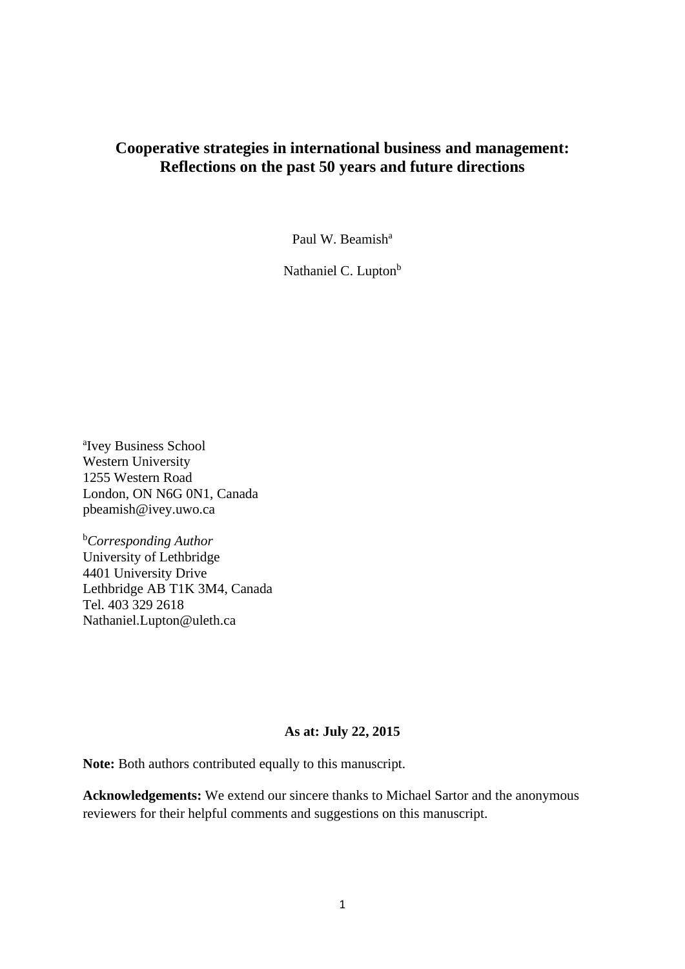# **Cooperative strategies in international business and management: Reflections on the past 50 years and future directions**

Paul W. Beamish<sup>a</sup>

Nathaniel C. Lupton<sup>b</sup>

a Ivey Business School Western University 1255 Western Road London, ON N6G 0N1, Canada pbeamish@ivey.uwo.ca

<sup>b</sup>*Corresponding Author* University of Lethbridge 4401 University Drive Lethbridge AB T1K 3M4, Canada Tel. 403 329 2618 Nathaniel.Lupton@uleth.ca

## **As at: July 22, 2015**

**Note:** Both authors contributed equally to this manuscript.

**Acknowledgements:** We extend our sincere thanks to Michael Sartor and the anonymous reviewers for their helpful comments and suggestions on this manuscript.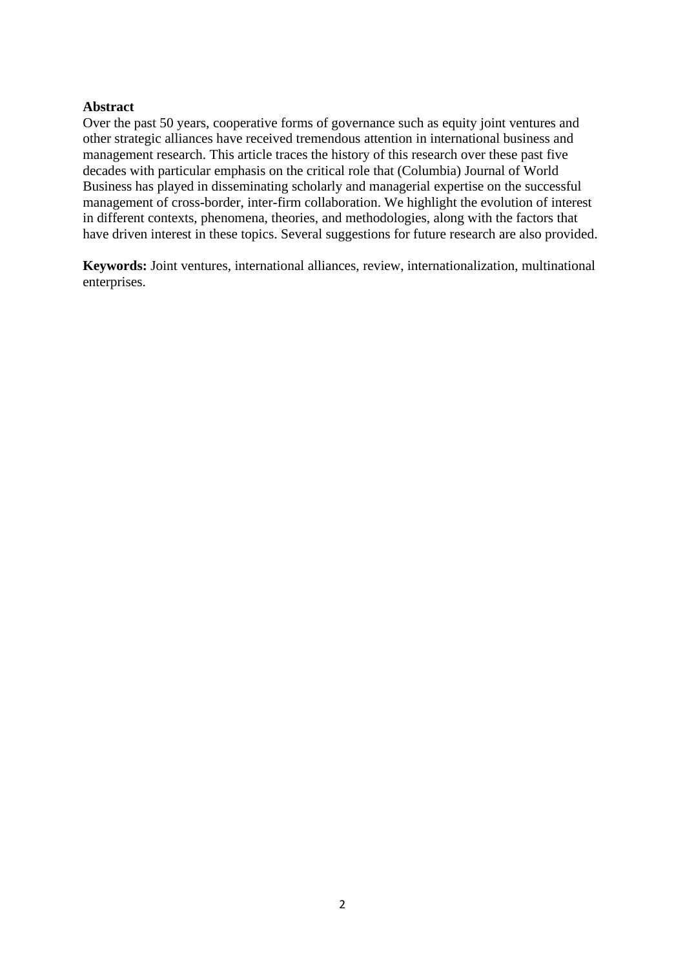## **Abstract**

Over the past 50 years, cooperative forms of governance such as equity joint ventures and other strategic alliances have received tremendous attention in international business and management research. This article traces the history of this research over these past five decades with particular emphasis on the critical role that (Columbia) Journal of World Business has played in disseminating scholarly and managerial expertise on the successful management of cross-border, inter-firm collaboration. We highlight the evolution of interest in different contexts, phenomena, theories, and methodologies, along with the factors that have driven interest in these topics. Several suggestions for future research are also provided.

**Keywords:** Joint ventures, international alliances, review, internationalization, multinational enterprises.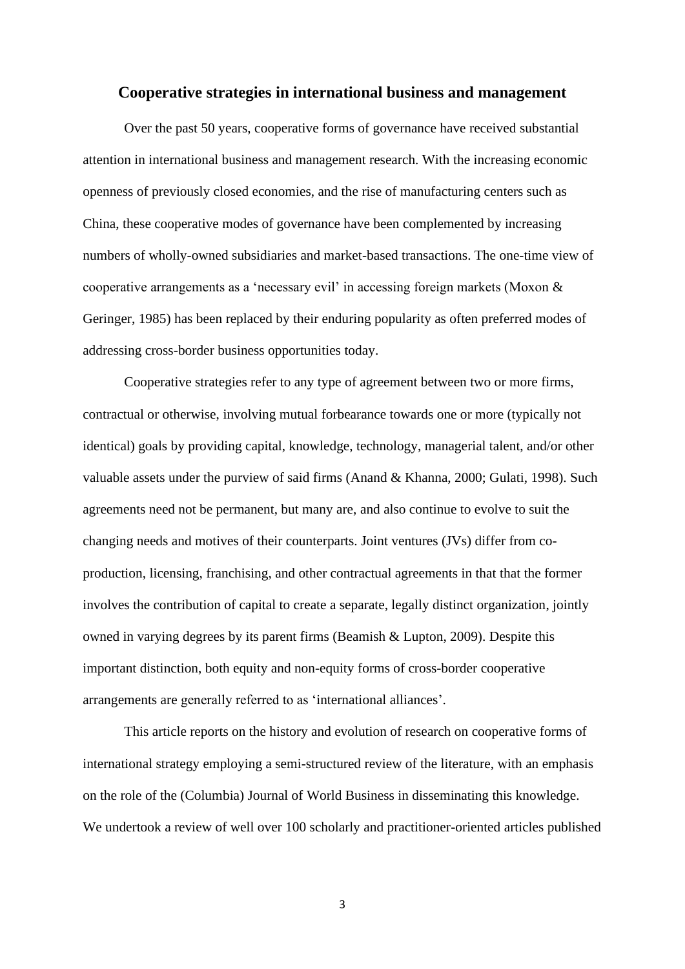#### **Cooperative strategies in international business and management**

Over the past 50 years, cooperative forms of governance have received substantial attention in international business and management research. With the increasing economic openness of previously closed economies, and the rise of manufacturing centers such as China, these cooperative modes of governance have been complemented by increasing numbers of wholly-owned subsidiaries and market-based transactions. The one-time view of cooperative arrangements as a 'necessary evil' in accessing foreign markets (Moxon & Geringer, 1985) has been replaced by their enduring popularity as often preferred modes of addressing cross-border business opportunities today.

Cooperative strategies refer to any type of agreement between two or more firms, contractual or otherwise, involving mutual forbearance towards one or more (typically not identical) goals by providing capital, knowledge, technology, managerial talent, and/or other valuable assets under the purview of said firms (Anand & Khanna, 2000; Gulati, 1998). Such agreements need not be permanent, but many are, and also continue to evolve to suit the changing needs and motives of their counterparts. Joint ventures (JVs) differ from coproduction, licensing, franchising, and other contractual agreements in that that the former involves the contribution of capital to create a separate, legally distinct organization, jointly owned in varying degrees by its parent firms (Beamish & Lupton, 2009). Despite this important distinction, both equity and non-equity forms of cross-border cooperative arrangements are generally referred to as 'international alliances'.

This article reports on the history and evolution of research on cooperative forms of international strategy employing a semi-structured review of the literature, with an emphasis on the role of the (Columbia) Journal of World Business in disseminating this knowledge. We undertook a review of well over 100 scholarly and practitioner-oriented articles published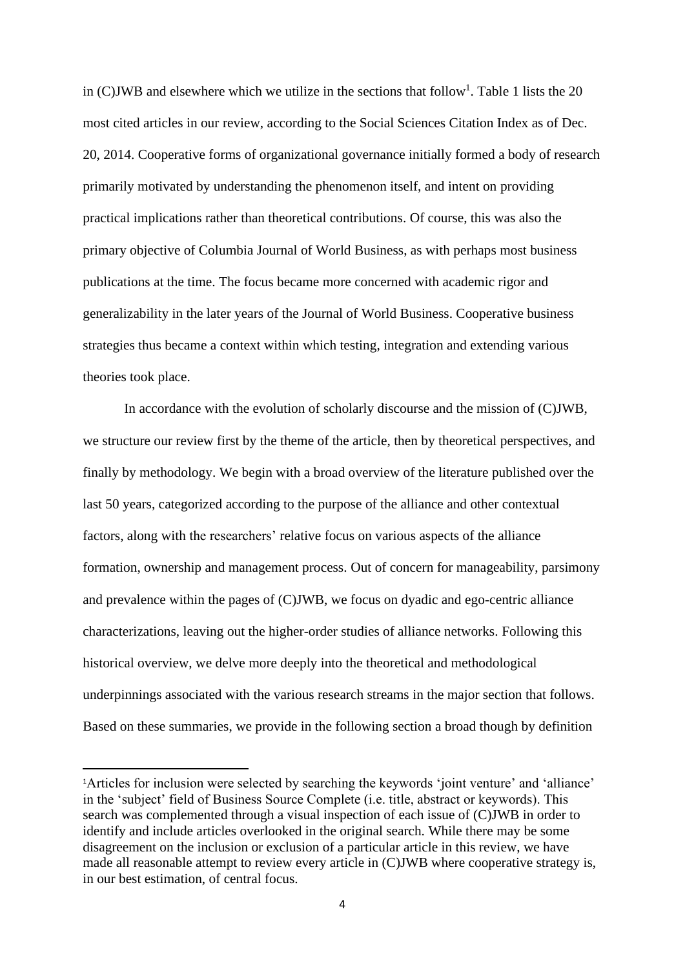in (C)JWB and elsewhere which we utilize in the sections that follow<sup>1</sup>. Table 1 lists the 20 most cited articles in our review, according to the Social Sciences Citation Index as of Dec. 20, 2014. Cooperative forms of organizational governance initially formed a body of research primarily motivated by understanding the phenomenon itself, and intent on providing practical implications rather than theoretical contributions. Of course, this was also the primary objective of Columbia Journal of World Business, as with perhaps most business publications at the time. The focus became more concerned with academic rigor and generalizability in the later years of the Journal of World Business. Cooperative business strategies thus became a context within which testing, integration and extending various theories took place.

In accordance with the evolution of scholarly discourse and the mission of (C)JWB, we structure our review first by the theme of the article, then by theoretical perspectives, and finally by methodology. We begin with a broad overview of the literature published over the last 50 years, categorized according to the purpose of the alliance and other contextual factors, along with the researchers' relative focus on various aspects of the alliance formation, ownership and management process. Out of concern for manageability, parsimony and prevalence within the pages of (C)JWB, we focus on dyadic and ego-centric alliance characterizations, leaving out the higher-order studies of alliance networks. Following this historical overview, we delve more deeply into the theoretical and methodological underpinnings associated with the various research streams in the major section that follows. Based on these summaries, we provide in the following section a broad though by definition

<sup>1</sup>Articles for inclusion were selected by searching the keywords 'joint venture' and 'alliance' in the 'subject' field of Business Source Complete (i.e. title, abstract or keywords). This search was complemented through a visual inspection of each issue of (C)JWB in order to identify and include articles overlooked in the original search. While there may be some disagreement on the inclusion or exclusion of a particular article in this review, we have made all reasonable attempt to review every article in (C)JWB where cooperative strategy is, in our best estimation, of central focus.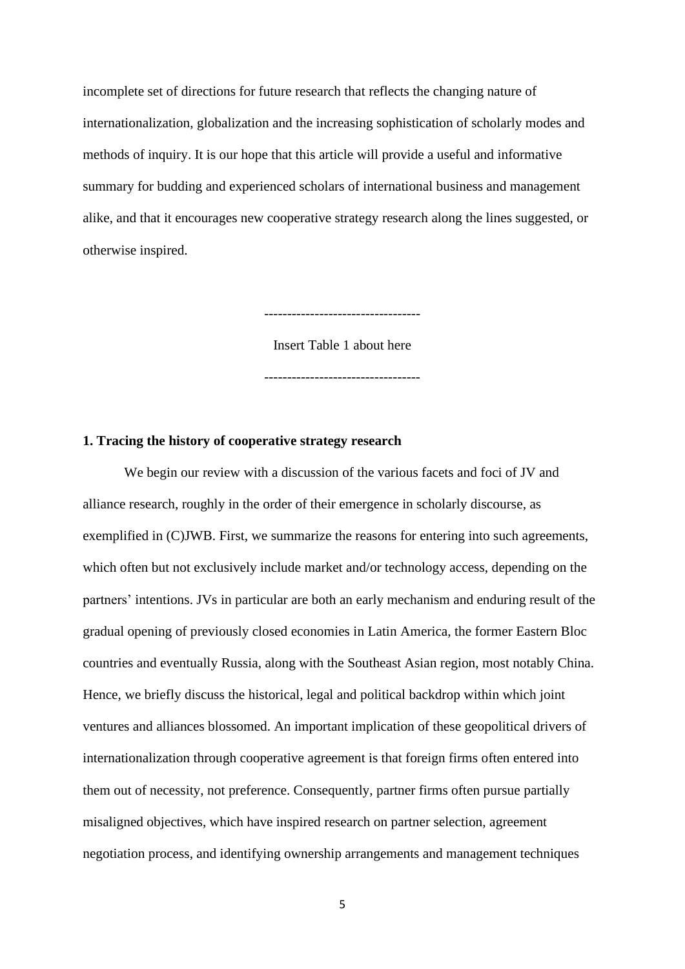incomplete set of directions for future research that reflects the changing nature of internationalization, globalization and the increasing sophistication of scholarly modes and methods of inquiry. It is our hope that this article will provide a useful and informative summary for budding and experienced scholars of international business and management alike, and that it encourages new cooperative strategy research along the lines suggested, or otherwise inspired.

----------------------------------

Insert Table 1 about here ----------------------------------

## **1. Tracing the history of cooperative strategy research**

We begin our review with a discussion of the various facets and foci of JV and alliance research, roughly in the order of their emergence in scholarly discourse, as exemplified in (C)JWB. First, we summarize the reasons for entering into such agreements, which often but not exclusively include market and/or technology access, depending on the partners' intentions. JVs in particular are both an early mechanism and enduring result of the gradual opening of previously closed economies in Latin America, the former Eastern Bloc countries and eventually Russia, along with the Southeast Asian region, most notably China. Hence, we briefly discuss the historical, legal and political backdrop within which joint ventures and alliances blossomed. An important implication of these geopolitical drivers of internationalization through cooperative agreement is that foreign firms often entered into them out of necessity, not preference. Consequently, partner firms often pursue partially misaligned objectives, which have inspired research on partner selection, agreement negotiation process, and identifying ownership arrangements and management techniques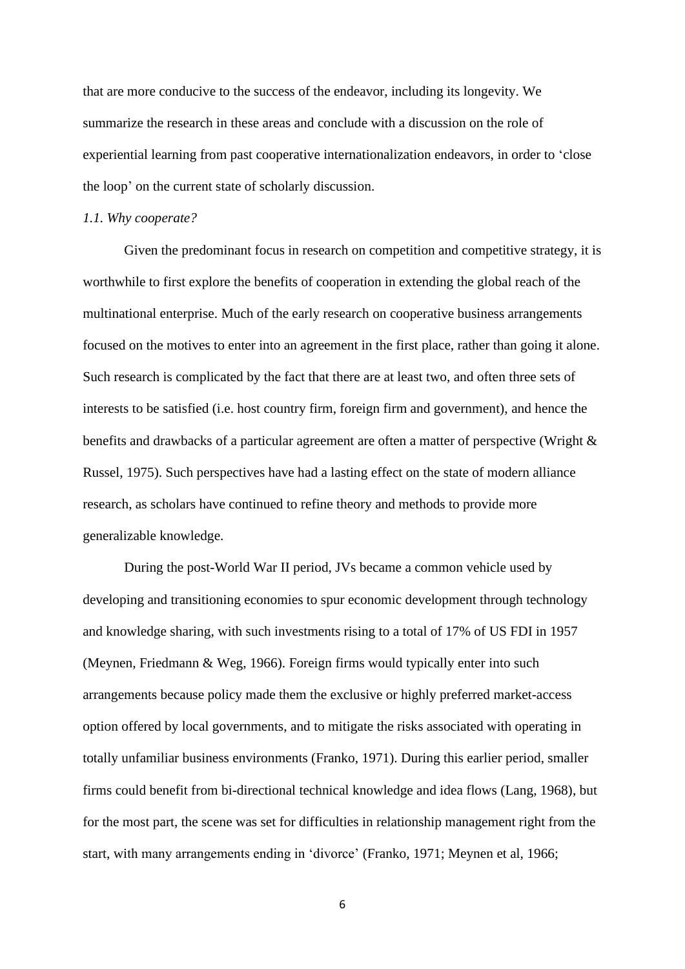that are more conducive to the success of the endeavor, including its longevity. We summarize the research in these areas and conclude with a discussion on the role of experiential learning from past cooperative internationalization endeavors, in order to 'close the loop' on the current state of scholarly discussion.

#### *1.1. Why cooperate?*

Given the predominant focus in research on competition and competitive strategy, it is worthwhile to first explore the benefits of cooperation in extending the global reach of the multinational enterprise. Much of the early research on cooperative business arrangements focused on the motives to enter into an agreement in the first place, rather than going it alone. Such research is complicated by the fact that there are at least two, and often three sets of interests to be satisfied (i.e. host country firm, foreign firm and government), and hence the benefits and drawbacks of a particular agreement are often a matter of perspective (Wright & Russel, 1975). Such perspectives have had a lasting effect on the state of modern alliance research, as scholars have continued to refine theory and methods to provide more generalizable knowledge.

During the post-World War II period, JVs became a common vehicle used by developing and transitioning economies to spur economic development through technology and knowledge sharing, with such investments rising to a total of 17% of US FDI in 1957 (Meynen, Friedmann & Weg, 1966). Foreign firms would typically enter into such arrangements because policy made them the exclusive or highly preferred market-access option offered by local governments, and to mitigate the risks associated with operating in totally unfamiliar business environments (Franko, 1971). During this earlier period, smaller firms could benefit from bi-directional technical knowledge and idea flows (Lang, 1968), but for the most part, the scene was set for difficulties in relationship management right from the start, with many arrangements ending in 'divorce' (Franko, 1971; Meynen et al, 1966;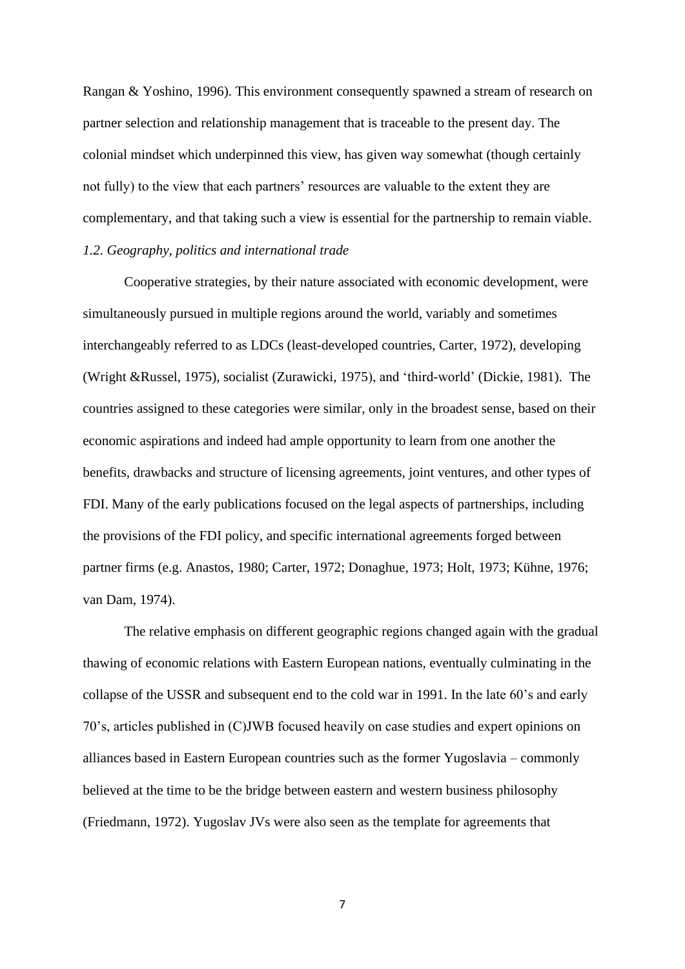Rangan & Yoshino, 1996). This environment consequently spawned a stream of research on partner selection and relationship management that is traceable to the present day. The colonial mindset which underpinned this view, has given way somewhat (though certainly not fully) to the view that each partners' resources are valuable to the extent they are complementary, and that taking such a view is essential for the partnership to remain viable. *1.2. Geography, politics and international trade*

Cooperative strategies, by their nature associated with economic development, were simultaneously pursued in multiple regions around the world, variably and sometimes interchangeably referred to as LDCs (least-developed countries, Carter, 1972), developing (Wright &Russel, 1975), socialist (Zurawicki, 1975), and 'third-world' (Dickie, 1981). The countries assigned to these categories were similar, only in the broadest sense, based on their economic aspirations and indeed had ample opportunity to learn from one another the benefits, drawbacks and structure of licensing agreements, joint ventures, and other types of FDI. Many of the early publications focused on the legal aspects of partnerships, including the provisions of the FDI policy, and specific international agreements forged between partner firms (e.g. Anastos, 1980; Carter, 1972; Donaghue, 1973; Holt, 1973; Kühne, 1976; van Dam, 1974).

The relative emphasis on different geographic regions changed again with the gradual thawing of economic relations with Eastern European nations, eventually culminating in the collapse of the USSR and subsequent end to the cold war in 1991. In the late 60's and early 70's, articles published in (C)JWB focused heavily on case studies and expert opinions on alliances based in Eastern European countries such as the former Yugoslavia – commonly believed at the time to be the bridge between eastern and western business philosophy (Friedmann, 1972). Yugoslav JVs were also seen as the template for agreements that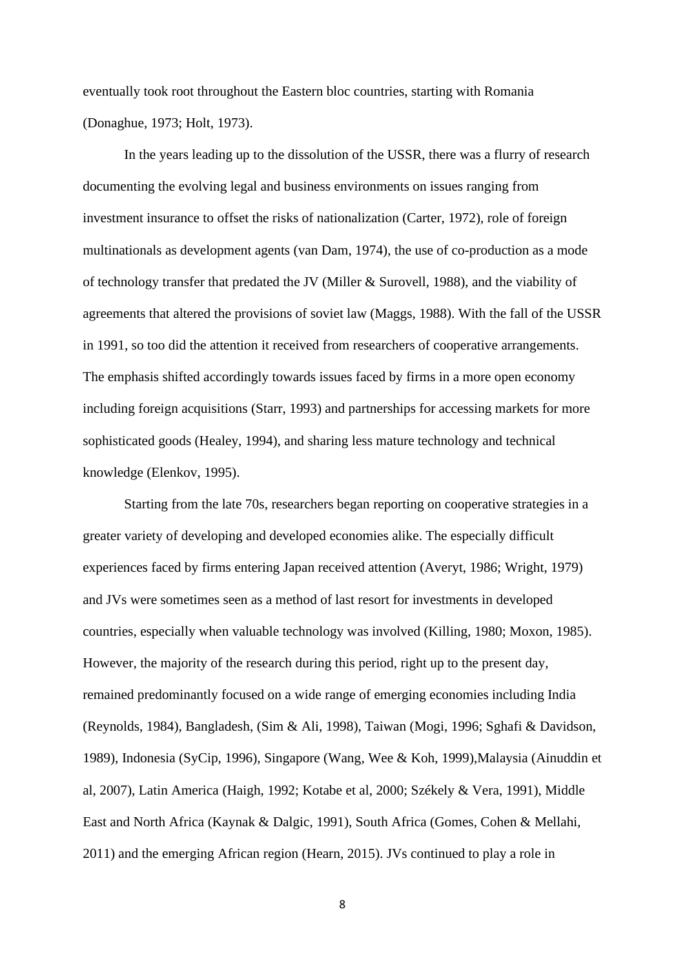eventually took root throughout the Eastern bloc countries, starting with Romania (Donaghue, 1973; Holt, 1973).

In the years leading up to the dissolution of the USSR, there was a flurry of research documenting the evolving legal and business environments on issues ranging from investment insurance to offset the risks of nationalization (Carter, 1972), role of foreign multinationals as development agents (van Dam, 1974), the use of co-production as a mode of technology transfer that predated the JV (Miller & Surovell, 1988), and the viability of agreements that altered the provisions of soviet law (Maggs, 1988). With the fall of the USSR in 1991, so too did the attention it received from researchers of cooperative arrangements. The emphasis shifted accordingly towards issues faced by firms in a more open economy including foreign acquisitions (Starr, 1993) and partnerships for accessing markets for more sophisticated goods (Healey, 1994), and sharing less mature technology and technical knowledge (Elenkov, 1995).

Starting from the late 70s, researchers began reporting on cooperative strategies in a greater variety of developing and developed economies alike. The especially difficult experiences faced by firms entering Japan received attention (Averyt, 1986; Wright, 1979) and JVs were sometimes seen as a method of last resort for investments in developed countries, especially when valuable technology was involved (Killing, 1980; Moxon, 1985). However, the majority of the research during this period, right up to the present day, remained predominantly focused on a wide range of emerging economies including India (Reynolds, 1984), Bangladesh, (Sim & Ali, 1998), Taiwan (Mogi, 1996; Sghafi & Davidson, 1989), Indonesia (SyCip, 1996), Singapore (Wang, Wee & Koh, 1999),Malaysia (Ainuddin et al, 2007), Latin America (Haigh, 1992; Kotabe et al, 2000; Székely & Vera, 1991), Middle East and North Africa (Kaynak & Dalgic, 1991), South Africa (Gomes, Cohen & Mellahi, 2011) and the emerging African region (Hearn, 2015). JVs continued to play a role in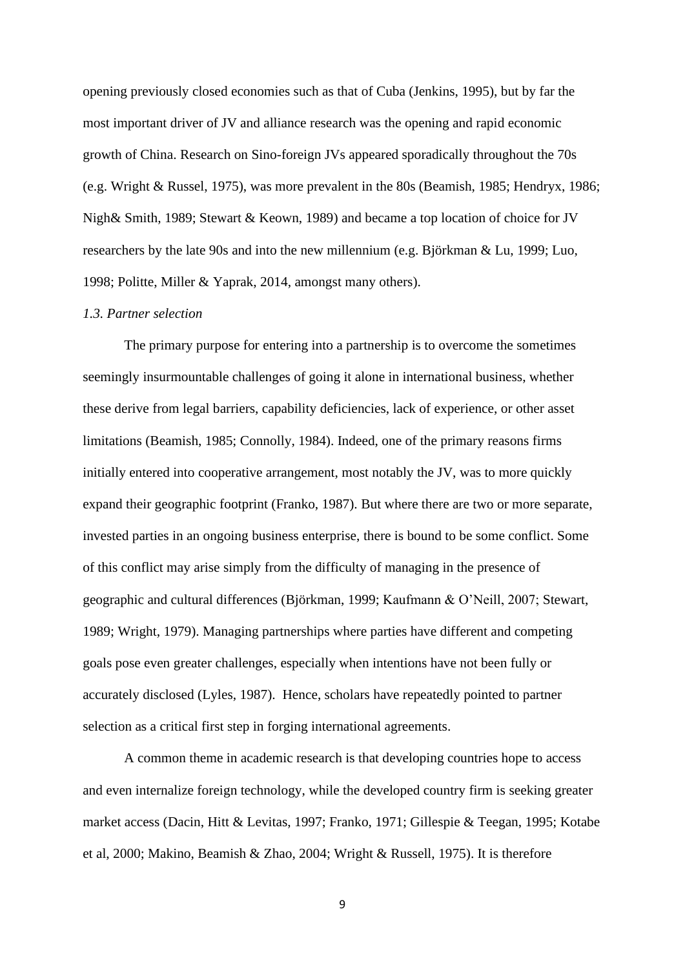opening previously closed economies such as that of Cuba (Jenkins, 1995), but by far the most important driver of JV and alliance research was the opening and rapid economic growth of China. Research on Sino-foreign JVs appeared sporadically throughout the 70s (e.g. Wright & Russel, 1975), was more prevalent in the 80s (Beamish, 1985; Hendryx, 1986; Nigh& Smith, 1989; Stewart & Keown, 1989) and became a top location of choice for JV researchers by the late 90s and into the new millennium (e.g. Björkman & Lu, 1999; Luo, 1998; Politte, Miller & Yaprak, 2014, amongst many others).

#### *1.3. Partner selection*

The primary purpose for entering into a partnership is to overcome the sometimes seemingly insurmountable challenges of going it alone in international business, whether these derive from legal barriers, capability deficiencies, lack of experience, or other asset limitations (Beamish, 1985; Connolly, 1984). Indeed, one of the primary reasons firms initially entered into cooperative arrangement, most notably the JV, was to more quickly expand their geographic footprint (Franko, 1987). But where there are two or more separate, invested parties in an ongoing business enterprise, there is bound to be some conflict. Some of this conflict may arise simply from the difficulty of managing in the presence of geographic and cultural differences (Björkman, 1999; Kaufmann & O'Neill, 2007; Stewart, 1989; Wright, 1979). Managing partnerships where parties have different and competing goals pose even greater challenges, especially when intentions have not been fully or accurately disclosed (Lyles, 1987). Hence, scholars have repeatedly pointed to partner selection as a critical first step in forging international agreements.

A common theme in academic research is that developing countries hope to access and even internalize foreign technology, while the developed country firm is seeking greater market access (Dacin, Hitt & Levitas, 1997; Franko, 1971; Gillespie & Teegan, 1995; Kotabe et al, 2000; Makino, Beamish & Zhao, 2004; Wright & Russell, 1975). It is therefore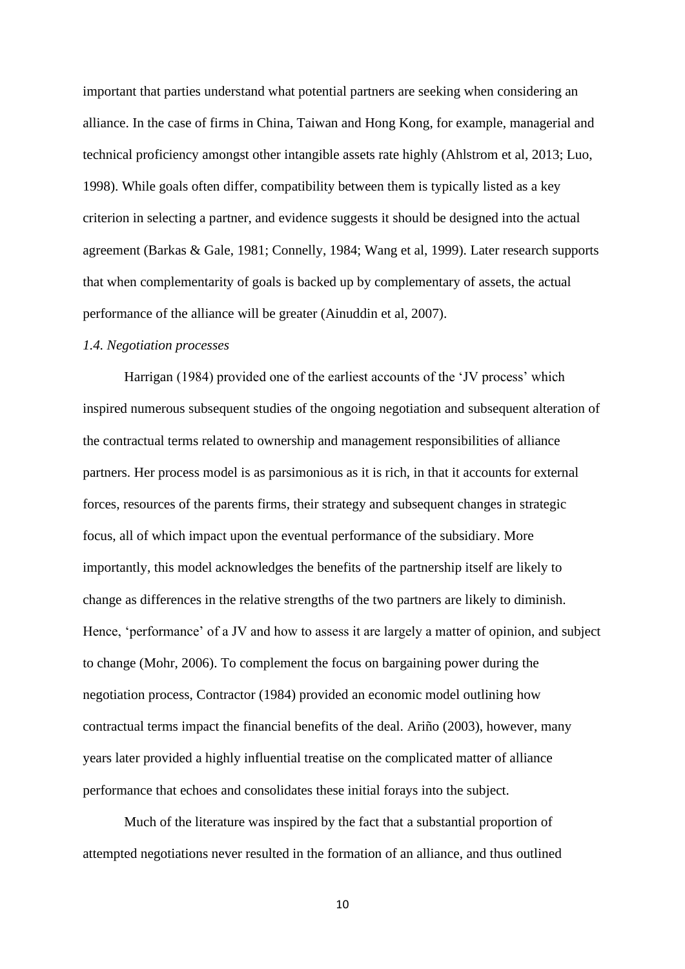important that parties understand what potential partners are seeking when considering an alliance. In the case of firms in China, Taiwan and Hong Kong, for example, managerial and technical proficiency amongst other intangible assets rate highly (Ahlstrom et al, 2013; Luo, 1998). While goals often differ, compatibility between them is typically listed as a key criterion in selecting a partner, and evidence suggests it should be designed into the actual agreement (Barkas & Gale, 1981; Connelly, 1984; Wang et al, 1999). Later research supports that when complementarity of goals is backed up by complementary of assets, the actual performance of the alliance will be greater (Ainuddin et al, 2007).

# *1.4. Negotiation processes*

Harrigan (1984) provided one of the earliest accounts of the 'JV process' which inspired numerous subsequent studies of the ongoing negotiation and subsequent alteration of the contractual terms related to ownership and management responsibilities of alliance partners. Her process model is as parsimonious as it is rich, in that it accounts for external forces, resources of the parents firms, their strategy and subsequent changes in strategic focus, all of which impact upon the eventual performance of the subsidiary. More importantly, this model acknowledges the benefits of the partnership itself are likely to change as differences in the relative strengths of the two partners are likely to diminish. Hence, 'performance' of a JV and how to assess it are largely a matter of opinion, and subject to change (Mohr, 2006). To complement the focus on bargaining power during the negotiation process, Contractor (1984) provided an economic model outlining how contractual terms impact the financial benefits of the deal. Ariño (2003), however, many years later provided a highly influential treatise on the complicated matter of alliance performance that echoes and consolidates these initial forays into the subject.

Much of the literature was inspired by the fact that a substantial proportion of attempted negotiations never resulted in the formation of an alliance, and thus outlined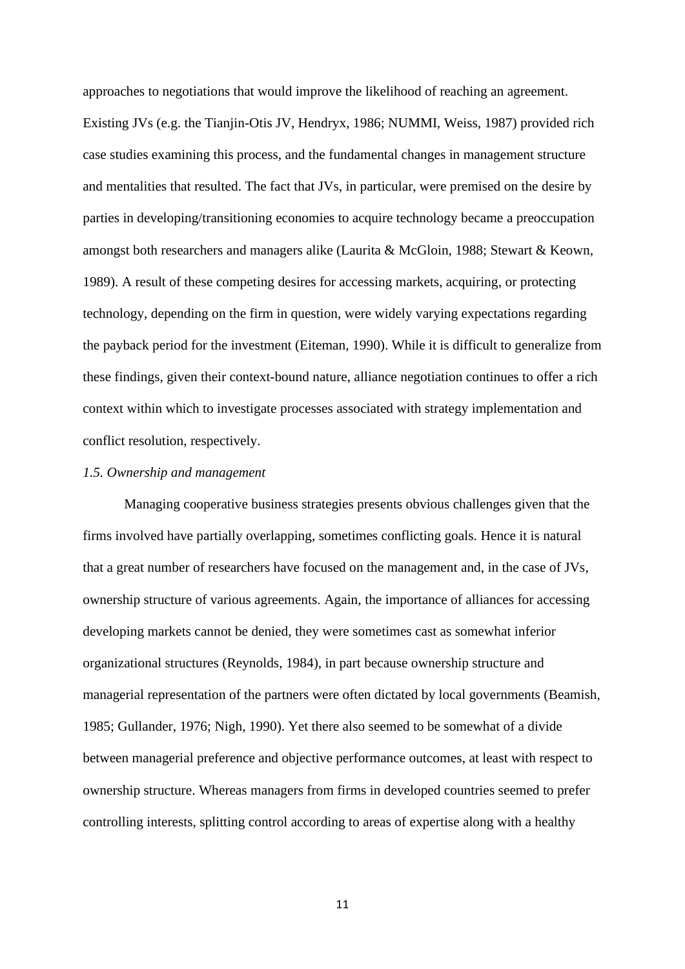approaches to negotiations that would improve the likelihood of reaching an agreement. Existing JVs (e.g. the Tianjin-Otis JV, Hendryx, 1986; NUMMI, Weiss, 1987) provided rich case studies examining this process, and the fundamental changes in management structure and mentalities that resulted. The fact that JVs, in particular, were premised on the desire by parties in developing/transitioning economies to acquire technology became a preoccupation amongst both researchers and managers alike (Laurita & McGloin, 1988; Stewart & Keown, 1989). A result of these competing desires for accessing markets, acquiring, or protecting technology, depending on the firm in question, were widely varying expectations regarding the payback period for the investment (Eiteman, 1990). While it is difficult to generalize from these findings, given their context-bound nature, alliance negotiation continues to offer a rich context within which to investigate processes associated with strategy implementation and conflict resolution, respectively.

## *1.5. Ownership and management*

Managing cooperative business strategies presents obvious challenges given that the firms involved have partially overlapping, sometimes conflicting goals. Hence it is natural that a great number of researchers have focused on the management and, in the case of JVs, ownership structure of various agreements. Again, the importance of alliances for accessing developing markets cannot be denied, they were sometimes cast as somewhat inferior organizational structures (Reynolds, 1984), in part because ownership structure and managerial representation of the partners were often dictated by local governments (Beamish, 1985; Gullander, 1976; Nigh, 1990). Yet there also seemed to be somewhat of a divide between managerial preference and objective performance outcomes, at least with respect to ownership structure. Whereas managers from firms in developed countries seemed to prefer controlling interests, splitting control according to areas of expertise along with a healthy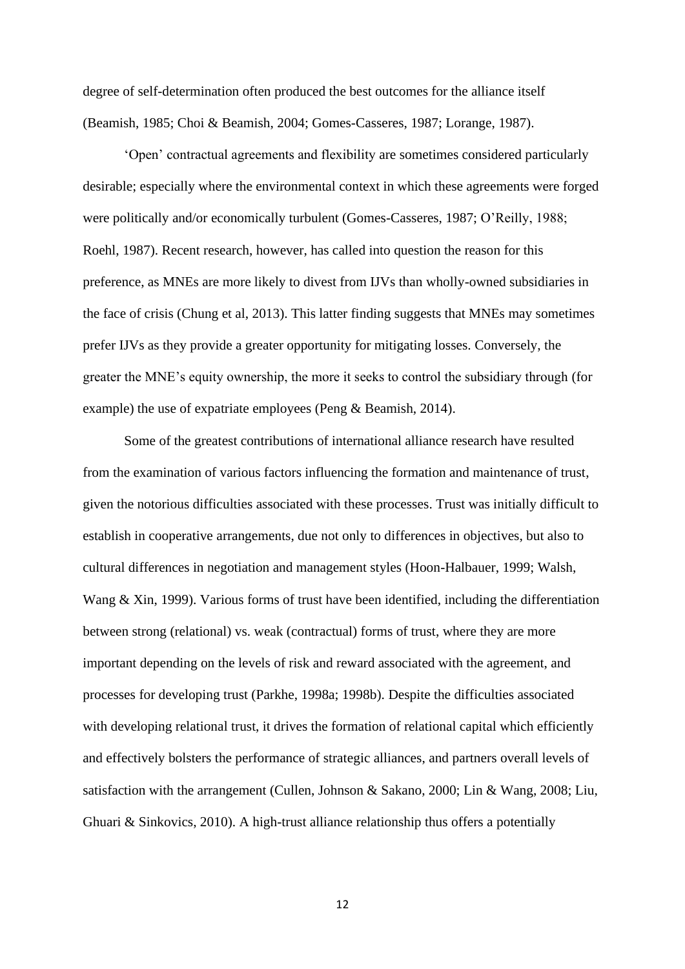degree of self-determination often produced the best outcomes for the alliance itself (Beamish, 1985; Choi & Beamish, 2004; Gomes-Casseres, 1987; Lorange, 1987).

'Open' contractual agreements and flexibility are sometimes considered particularly desirable; especially where the environmental context in which these agreements were forged were politically and/or economically turbulent (Gomes-Casseres, 1987; O'Reilly, 1988; Roehl, 1987). Recent research, however, has called into question the reason for this preference, as MNEs are more likely to divest from IJVs than wholly-owned subsidiaries in the face of crisis (Chung et al, 2013). This latter finding suggests that MNEs may sometimes prefer IJVs as they provide a greater opportunity for mitigating losses. Conversely, the greater the MNE's equity ownership, the more it seeks to control the subsidiary through (for example) the use of expatriate employees (Peng & Beamish, 2014).

Some of the greatest contributions of international alliance research have resulted from the examination of various factors influencing the formation and maintenance of trust, given the notorious difficulties associated with these processes. Trust was initially difficult to establish in cooperative arrangements, due not only to differences in objectives, but also to cultural differences in negotiation and management styles (Hoon-Halbauer, 1999; Walsh, Wang & Xin, 1999). Various forms of trust have been identified, including the differentiation between strong (relational) vs. weak (contractual) forms of trust, where they are more important depending on the levels of risk and reward associated with the agreement, and processes for developing trust (Parkhe, 1998a; 1998b). Despite the difficulties associated with developing relational trust, it drives the formation of relational capital which efficiently and effectively bolsters the performance of strategic alliances, and partners overall levels of satisfaction with the arrangement (Cullen, Johnson & Sakano, 2000; Lin & Wang, 2008; Liu, Ghuari & Sinkovics, 2010). A high-trust alliance relationship thus offers a potentially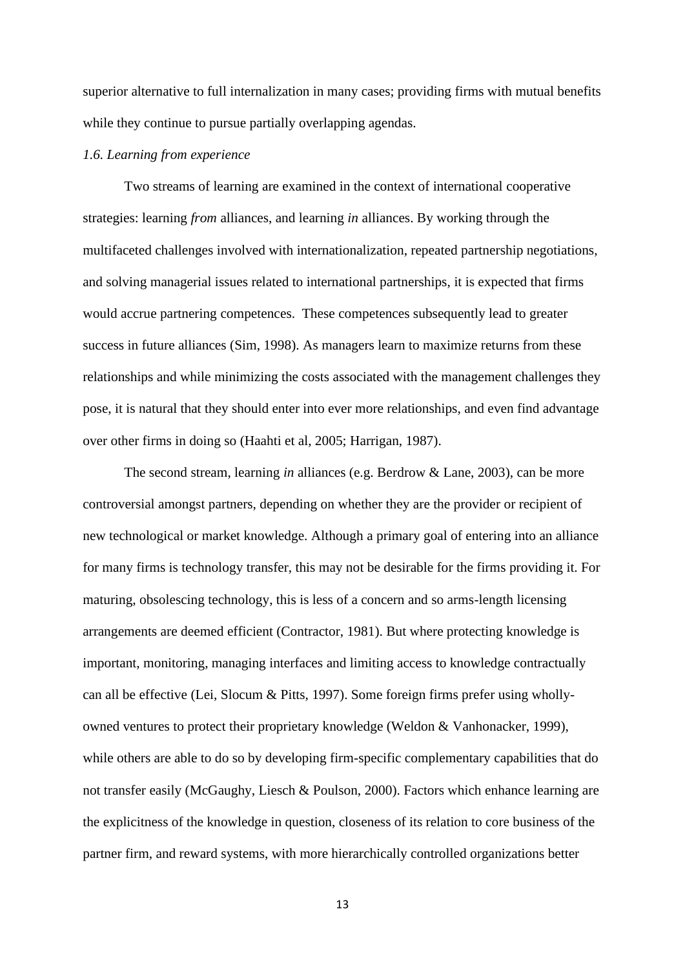superior alternative to full internalization in many cases; providing firms with mutual benefits while they continue to pursue partially overlapping agendas.

## *1.6. Learning from experience*

Two streams of learning are examined in the context of international cooperative strategies: learning *from* alliances, and learning *in* alliances. By working through the multifaceted challenges involved with internationalization, repeated partnership negotiations, and solving managerial issues related to international partnerships, it is expected that firms would accrue partnering competences. These competences subsequently lead to greater success in future alliances (Sim, 1998). As managers learn to maximize returns from these relationships and while minimizing the costs associated with the management challenges they pose, it is natural that they should enter into ever more relationships, and even find advantage over other firms in doing so (Haahti et al, 2005; Harrigan, 1987).

The second stream, learning *in* alliances (e.g. Berdrow & Lane, 2003), can be more controversial amongst partners, depending on whether they are the provider or recipient of new technological or market knowledge. Although a primary goal of entering into an alliance for many firms is technology transfer, this may not be desirable for the firms providing it. For maturing, obsolescing technology, this is less of a concern and so arms-length licensing arrangements are deemed efficient (Contractor, 1981). But where protecting knowledge is important, monitoring, managing interfaces and limiting access to knowledge contractually can all be effective (Lei, Slocum & Pitts, 1997). Some foreign firms prefer using whollyowned ventures to protect their proprietary knowledge (Weldon & Vanhonacker, 1999), while others are able to do so by developing firm-specific complementary capabilities that do not transfer easily (McGaughy, Liesch & Poulson, 2000). Factors which enhance learning are the explicitness of the knowledge in question, closeness of its relation to core business of the partner firm, and reward systems, with more hierarchically controlled organizations better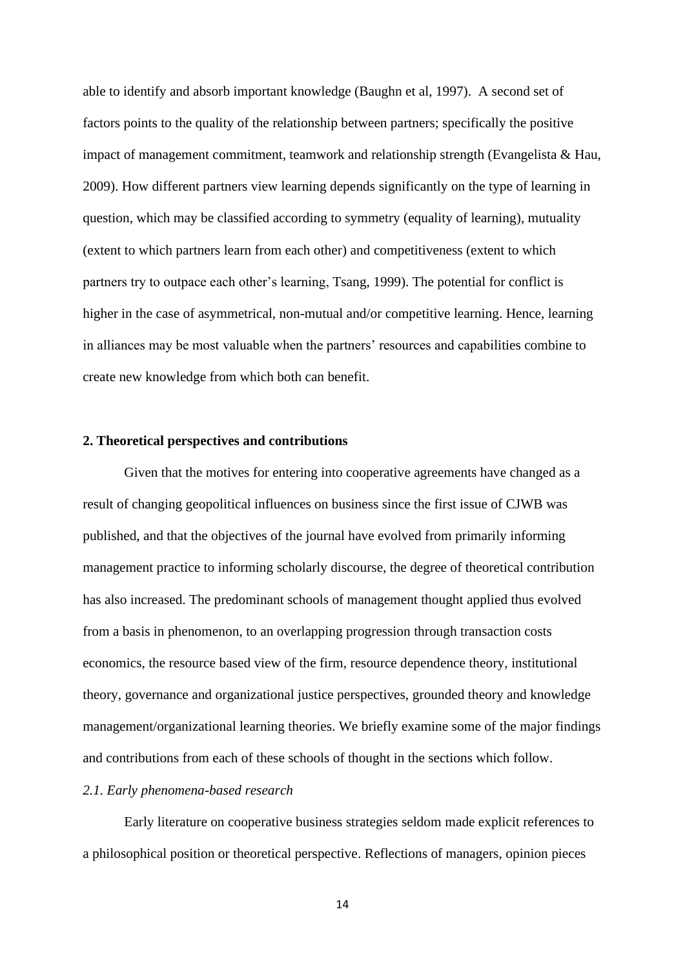able to identify and absorb important knowledge (Baughn et al, 1997). A second set of factors points to the quality of the relationship between partners; specifically the positive impact of management commitment, teamwork and relationship strength (Evangelista  $\&$  Hau, 2009). How different partners view learning depends significantly on the type of learning in question, which may be classified according to symmetry (equality of learning), mutuality (extent to which partners learn from each other) and competitiveness (extent to which partners try to outpace each other's learning, Tsang, 1999). The potential for conflict is higher in the case of asymmetrical, non-mutual and/or competitive learning. Hence, learning in alliances may be most valuable when the partners' resources and capabilities combine to create new knowledge from which both can benefit.

## **2. Theoretical perspectives and contributions**

Given that the motives for entering into cooperative agreements have changed as a result of changing geopolitical influences on business since the first issue of CJWB was published, and that the objectives of the journal have evolved from primarily informing management practice to informing scholarly discourse, the degree of theoretical contribution has also increased. The predominant schools of management thought applied thus evolved from a basis in phenomenon, to an overlapping progression through transaction costs economics, the resource based view of the firm, resource dependence theory, institutional theory, governance and organizational justice perspectives, grounded theory and knowledge management/organizational learning theories. We briefly examine some of the major findings and contributions from each of these schools of thought in the sections which follow.

#### *2.1. Early phenomena-based research*

Early literature on cooperative business strategies seldom made explicit references to a philosophical position or theoretical perspective. Reflections of managers, opinion pieces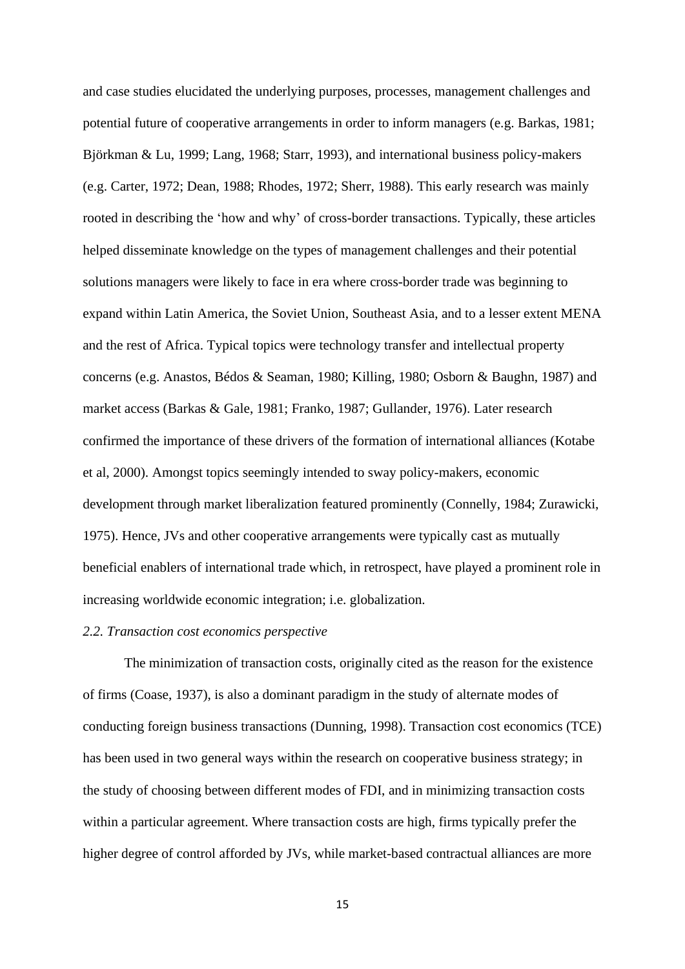and case studies elucidated the underlying purposes, processes, management challenges and potential future of cooperative arrangements in order to inform managers (e.g. Barkas, 1981; Björkman & Lu, 1999; Lang, 1968; Starr, 1993), and international business policy-makers (e.g. Carter, 1972; Dean, 1988; Rhodes, 1972; Sherr, 1988). This early research was mainly rooted in describing the 'how and why' of cross-border transactions. Typically, these articles helped disseminate knowledge on the types of management challenges and their potential solutions managers were likely to face in era where cross-border trade was beginning to expand within Latin America, the Soviet Union, Southeast Asia, and to a lesser extent MENA and the rest of Africa. Typical topics were technology transfer and intellectual property concerns (e.g. Anastos, Bédos & Seaman, 1980; Killing, 1980; Osborn & Baughn, 1987) and market access (Barkas & Gale, 1981; Franko, 1987; Gullander, 1976). Later research confirmed the importance of these drivers of the formation of international alliances (Kotabe et al, 2000). Amongst topics seemingly intended to sway policy-makers, economic development through market liberalization featured prominently (Connelly, 1984; Zurawicki, 1975). Hence, JVs and other cooperative arrangements were typically cast as mutually beneficial enablers of international trade which, in retrospect, have played a prominent role in increasing worldwide economic integration; i.e. globalization.

## *2.2. Transaction cost economics perspective*

The minimization of transaction costs, originally cited as the reason for the existence of firms (Coase, 1937), is also a dominant paradigm in the study of alternate modes of conducting foreign business transactions (Dunning, 1998). Transaction cost economics (TCE) has been used in two general ways within the research on cooperative business strategy; in the study of choosing between different modes of FDI, and in minimizing transaction costs within a particular agreement. Where transaction costs are high, firms typically prefer the higher degree of control afforded by JVs, while market-based contractual alliances are more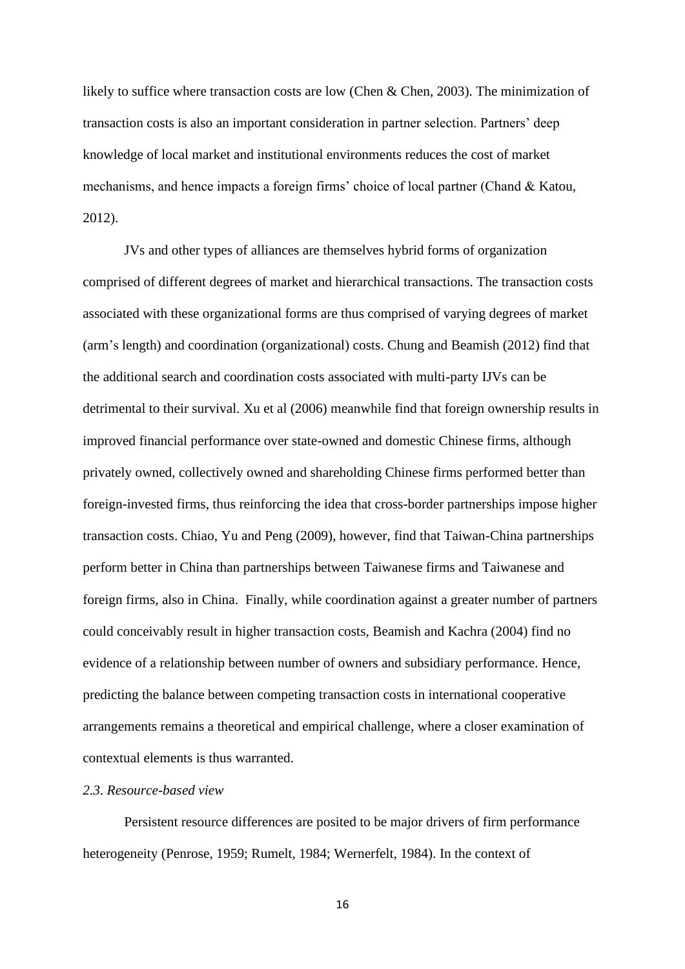likely to suffice where transaction costs are low (Chen & Chen, 2003). The minimization of transaction costs is also an important consideration in partner selection. Partners' deep knowledge of local market and institutional environments reduces the cost of market mechanisms, and hence impacts a foreign firms' choice of local partner (Chand & Katou, 2012).

JVs and other types of alliances are themselves hybrid forms of organization comprised of different degrees of market and hierarchical transactions. The transaction costs associated with these organizational forms are thus comprised of varying degrees of market (arm's length) and coordination (organizational) costs. Chung and Beamish (2012) find that the additional search and coordination costs associated with multi-party IJVs can be detrimental to their survival. Xu et al (2006) meanwhile find that foreign ownership results in improved financial performance over state-owned and domestic Chinese firms, although privately owned, collectively owned and shareholding Chinese firms performed better than foreign-invested firms, thus reinforcing the idea that cross-border partnerships impose higher transaction costs. Chiao, Yu and Peng (2009), however, find that Taiwan-China partnerships perform better in China than partnerships between Taiwanese firms and Taiwanese and foreign firms, also in China. Finally, while coordination against a greater number of partners could conceivably result in higher transaction costs, Beamish and Kachra (2004) find no evidence of a relationship between number of owners and subsidiary performance. Hence, predicting the balance between competing transaction costs in international cooperative arrangements remains a theoretical and empirical challenge, where a closer examination of contextual elements is thus warranted.

# *2.3. Resource-based view*

Persistent resource differences are posited to be major drivers of firm performance heterogeneity (Penrose, 1959; Rumelt, 1984; Wernerfelt, 1984). In the context of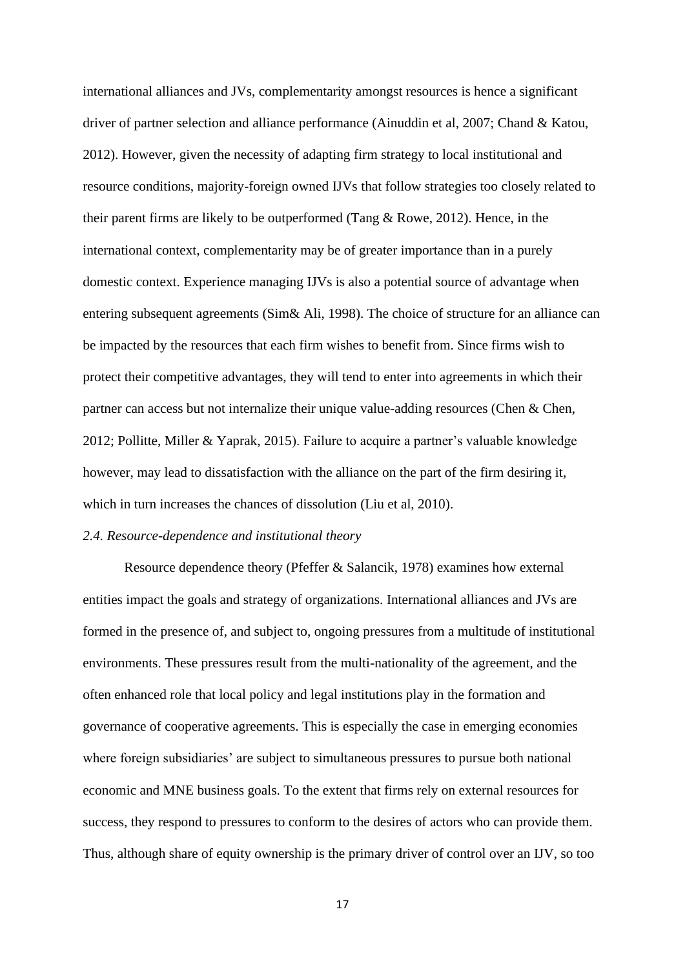international alliances and JVs, complementarity amongst resources is hence a significant driver of partner selection and alliance performance (Ainuddin et al, 2007; Chand & Katou, 2012). However, given the necessity of adapting firm strategy to local institutional and resource conditions, majority-foreign owned IJVs that follow strategies too closely related to their parent firms are likely to be outperformed (Tang & Rowe, 2012). Hence, in the international context, complementarity may be of greater importance than in a purely domestic context. Experience managing IJVs is also a potential source of advantage when entering subsequent agreements (Sim& Ali, 1998). The choice of structure for an alliance can be impacted by the resources that each firm wishes to benefit from. Since firms wish to protect their competitive advantages, they will tend to enter into agreements in which their partner can access but not internalize their unique value-adding resources (Chen & Chen, 2012; Pollitte, Miller & Yaprak, 2015). Failure to acquire a partner's valuable knowledge however, may lead to dissatisfaction with the alliance on the part of the firm desiring it, which in turn increases the chances of dissolution (Liu et al, 2010).

#### *2.4. Resource-dependence and institutional theory*

Resource dependence theory (Pfeffer & Salancik, 1978) examines how external entities impact the goals and strategy of organizations. International alliances and JVs are formed in the presence of, and subject to, ongoing pressures from a multitude of institutional environments. These pressures result from the multi-nationality of the agreement, and the often enhanced role that local policy and legal institutions play in the formation and governance of cooperative agreements. This is especially the case in emerging economies where foreign subsidiaries' are subject to simultaneous pressures to pursue both national economic and MNE business goals. To the extent that firms rely on external resources for success, they respond to pressures to conform to the desires of actors who can provide them. Thus, although share of equity ownership is the primary driver of control over an IJV, so too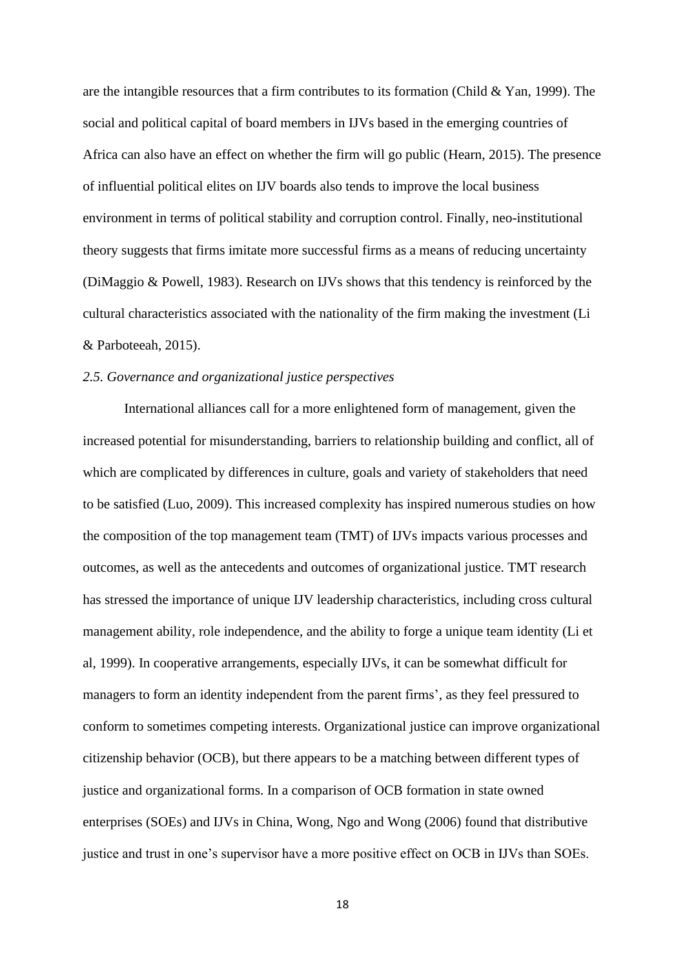are the intangible resources that a firm contributes to its formation (Child & Yan, 1999). The social and political capital of board members in IJVs based in the emerging countries of Africa can also have an effect on whether the firm will go public (Hearn, 2015). The presence of influential political elites on IJV boards also tends to improve the local business environment in terms of political stability and corruption control. Finally, neo-institutional theory suggests that firms imitate more successful firms as a means of reducing uncertainty (DiMaggio & Powell, 1983). Research on IJVs shows that this tendency is reinforced by the cultural characteristics associated with the nationality of the firm making the investment (Li & Parboteeah, 2015).

#### *2.5. Governance and organizational justice perspectives*

International alliances call for a more enlightened form of management, given the increased potential for misunderstanding, barriers to relationship building and conflict, all of which are complicated by differences in culture, goals and variety of stakeholders that need to be satisfied (Luo, 2009). This increased complexity has inspired numerous studies on how the composition of the top management team (TMT) of IJVs impacts various processes and outcomes, as well as the antecedents and outcomes of organizational justice. TMT research has stressed the importance of unique IJV leadership characteristics, including cross cultural management ability, role independence, and the ability to forge a unique team identity (Li et al, 1999). In cooperative arrangements, especially IJVs, it can be somewhat difficult for managers to form an identity independent from the parent firms', as they feel pressured to conform to sometimes competing interests. Organizational justice can improve organizational citizenship behavior (OCB), but there appears to be a matching between different types of justice and organizational forms. In a comparison of OCB formation in state owned enterprises (SOEs) and IJVs in China, Wong, Ngo and Wong (2006) found that distributive justice and trust in one's supervisor have a more positive effect on OCB in IJVs than SOEs.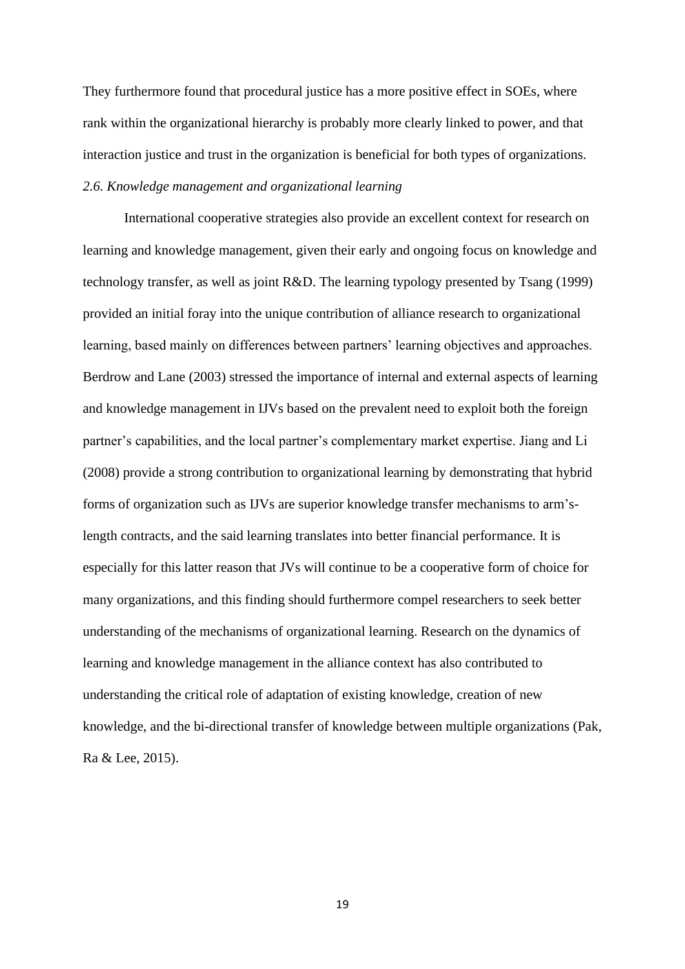They furthermore found that procedural justice has a more positive effect in SOEs, where rank within the organizational hierarchy is probably more clearly linked to power, and that interaction justice and trust in the organization is beneficial for both types of organizations. *2.6. Knowledge management and organizational learning*

International cooperative strategies also provide an excellent context for research on learning and knowledge management, given their early and ongoing focus on knowledge and technology transfer, as well as joint R&D. The learning typology presented by Tsang (1999) provided an initial foray into the unique contribution of alliance research to organizational learning, based mainly on differences between partners' learning objectives and approaches. Berdrow and Lane (2003) stressed the importance of internal and external aspects of learning and knowledge management in IJVs based on the prevalent need to exploit both the foreign partner's capabilities, and the local partner's complementary market expertise. Jiang and Li (2008) provide a strong contribution to organizational learning by demonstrating that hybrid forms of organization such as IJVs are superior knowledge transfer mechanisms to arm'slength contracts, and the said learning translates into better financial performance. It is especially for this latter reason that JVs will continue to be a cooperative form of choice for many organizations, and this finding should furthermore compel researchers to seek better understanding of the mechanisms of organizational learning. Research on the dynamics of learning and knowledge management in the alliance context has also contributed to understanding the critical role of adaptation of existing knowledge, creation of new knowledge, and the bi-directional transfer of knowledge between multiple organizations (Pak, Ra & Lee, 2015).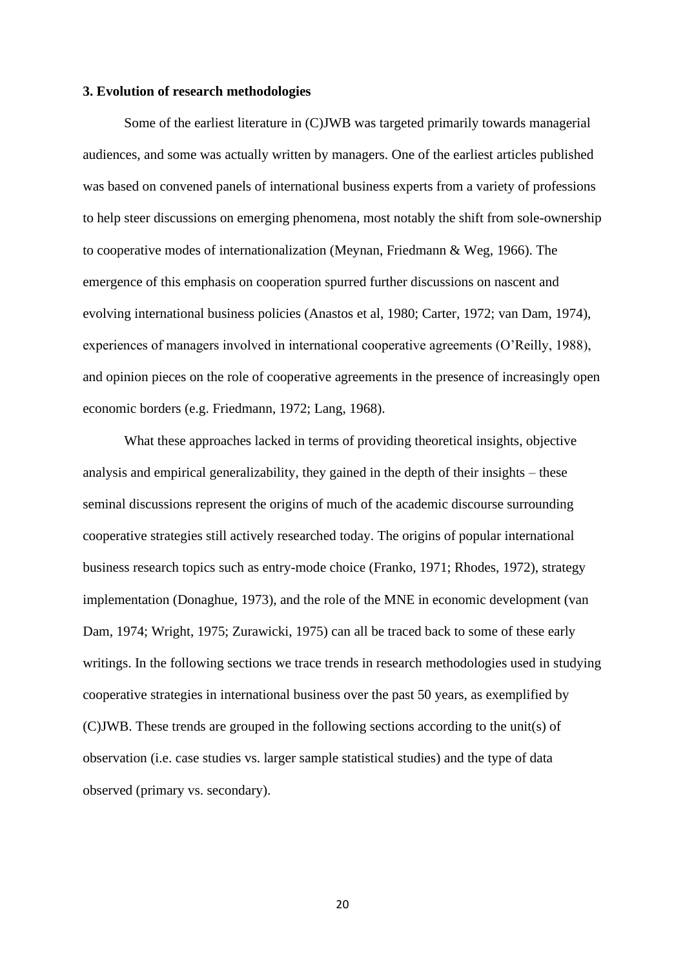#### **3. Evolution of research methodologies**

Some of the earliest literature in (C)JWB was targeted primarily towards managerial audiences, and some was actually written by managers. One of the earliest articles published was based on convened panels of international business experts from a variety of professions to help steer discussions on emerging phenomena, most notably the shift from sole-ownership to cooperative modes of internationalization (Meynan, Friedmann & Weg, 1966). The emergence of this emphasis on cooperation spurred further discussions on nascent and evolving international business policies (Anastos et al, 1980; Carter, 1972; van Dam, 1974), experiences of managers involved in international cooperative agreements (O'Reilly, 1988), and opinion pieces on the role of cooperative agreements in the presence of increasingly open economic borders (e.g. Friedmann, 1972; Lang, 1968).

What these approaches lacked in terms of providing theoretical insights, objective analysis and empirical generalizability, they gained in the depth of their insights – these seminal discussions represent the origins of much of the academic discourse surrounding cooperative strategies still actively researched today. The origins of popular international business research topics such as entry-mode choice (Franko, 1971; Rhodes, 1972), strategy implementation (Donaghue, 1973), and the role of the MNE in economic development (van Dam, 1974; Wright, 1975; Zurawicki, 1975) can all be traced back to some of these early writings. In the following sections we trace trends in research methodologies used in studying cooperative strategies in international business over the past 50 years, as exemplified by (C)JWB. These trends are grouped in the following sections according to the unit(s) of observation (i.e. case studies vs. larger sample statistical studies) and the type of data observed (primary vs. secondary).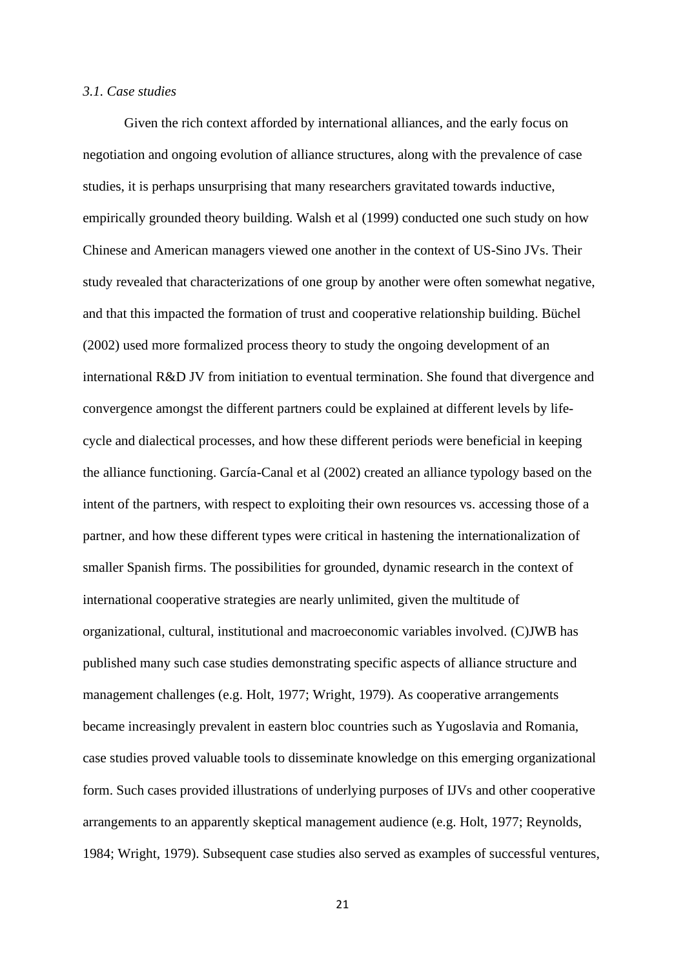#### *3.1. Case studies*

Given the rich context afforded by international alliances, and the early focus on negotiation and ongoing evolution of alliance structures, along with the prevalence of case studies, it is perhaps unsurprising that many researchers gravitated towards inductive, empirically grounded theory building. Walsh et al (1999) conducted one such study on how Chinese and American managers viewed one another in the context of US-Sino JVs. Their study revealed that characterizations of one group by another were often somewhat negative, and that this impacted the formation of trust and cooperative relationship building. Büchel (2002) used more formalized process theory to study the ongoing development of an international R&D JV from initiation to eventual termination. She found that divergence and convergence amongst the different partners could be explained at different levels by lifecycle and dialectical processes, and how these different periods were beneficial in keeping the alliance functioning. García-Canal et al (2002) created an alliance typology based on the intent of the partners, with respect to exploiting their own resources vs. accessing those of a partner, and how these different types were critical in hastening the internationalization of smaller Spanish firms. The possibilities for grounded, dynamic research in the context of international cooperative strategies are nearly unlimited, given the multitude of organizational, cultural, institutional and macroeconomic variables involved. (C)JWB has published many such case studies demonstrating specific aspects of alliance structure and management challenges (e.g. Holt, 1977; Wright, 1979). As cooperative arrangements became increasingly prevalent in eastern bloc countries such as Yugoslavia and Romania, case studies proved valuable tools to disseminate knowledge on this emerging organizational form. Such cases provided illustrations of underlying purposes of IJVs and other cooperative arrangements to an apparently skeptical management audience (e.g. Holt, 1977; Reynolds, 1984; Wright, 1979). Subsequent case studies also served as examples of successful ventures,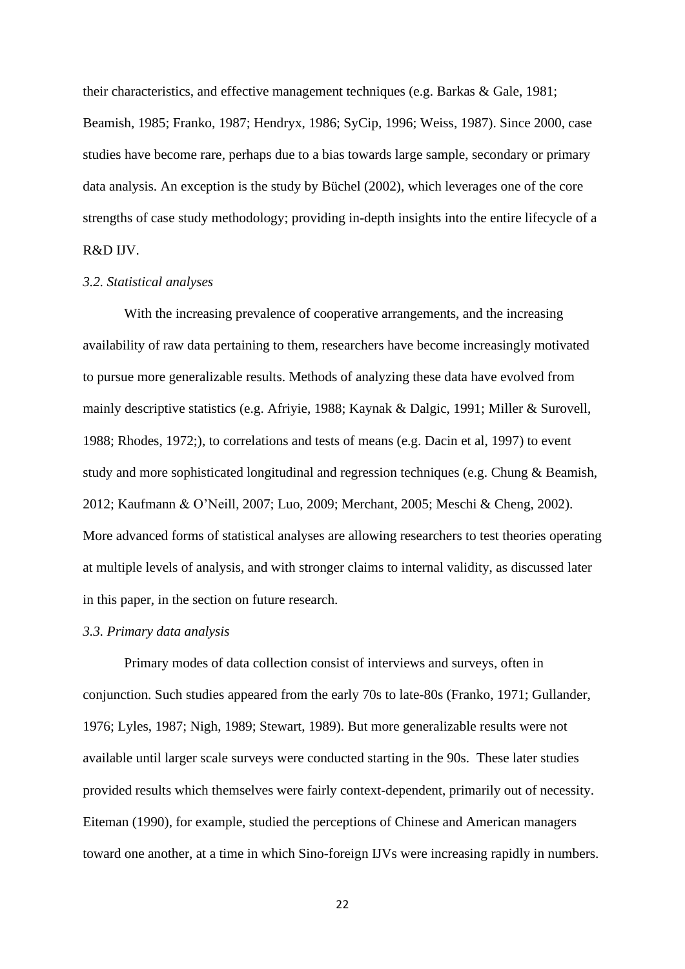their characteristics, and effective management techniques (e.g. Barkas & Gale, 1981; Beamish, 1985; Franko, 1987; Hendryx, 1986; SyCip, 1996; Weiss, 1987). Since 2000, case studies have become rare, perhaps due to a bias towards large sample, secondary or primary data analysis. An exception is the study by Büchel (2002), which leverages one of the core strengths of case study methodology; providing in-depth insights into the entire lifecycle of a R&D IJV.

#### *3.2. Statistical analyses*

With the increasing prevalence of cooperative arrangements, and the increasing availability of raw data pertaining to them, researchers have become increasingly motivated to pursue more generalizable results. Methods of analyzing these data have evolved from mainly descriptive statistics (e.g. Afriyie, 1988; Kaynak & Dalgic, 1991; Miller & Surovell, 1988; Rhodes, 1972;), to correlations and tests of means (e.g. Dacin et al, 1997) to event study and more sophisticated longitudinal and regression techniques (e.g. Chung & Beamish, 2012; Kaufmann & O'Neill, 2007; Luo, 2009; Merchant, 2005; Meschi & Cheng, 2002). More advanced forms of statistical analyses are allowing researchers to test theories operating at multiple levels of analysis, and with stronger claims to internal validity, as discussed later in this paper, in the section on future research.

#### *3.3. Primary data analysis*

Primary modes of data collection consist of interviews and surveys, often in conjunction. Such studies appeared from the early 70s to late-80s (Franko, 1971; Gullander, 1976; Lyles, 1987; Nigh, 1989; Stewart, 1989). But more generalizable results were not available until larger scale surveys were conducted starting in the 90s. These later studies provided results which themselves were fairly context-dependent, primarily out of necessity. Eiteman (1990), for example, studied the perceptions of Chinese and American managers toward one another, at a time in which Sino-foreign IJVs were increasing rapidly in numbers.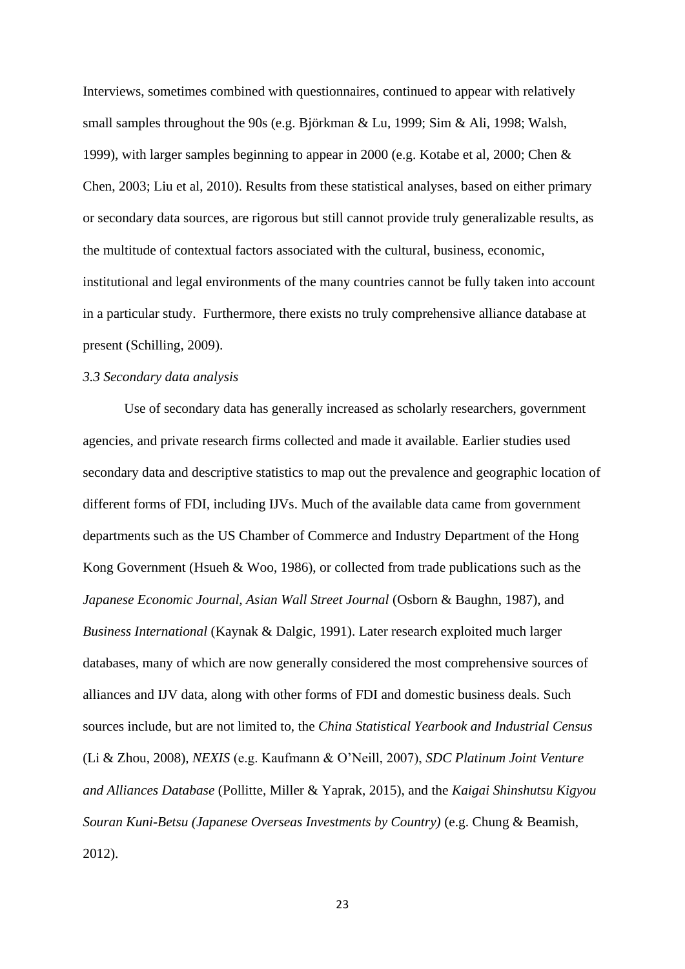Interviews, sometimes combined with questionnaires, continued to appear with relatively small samples throughout the 90s (e.g. Björkman & Lu, 1999; Sim & Ali, 1998; Walsh, 1999), with larger samples beginning to appear in 2000 (e.g. Kotabe et al, 2000; Chen & Chen, 2003; Liu et al, 2010). Results from these statistical analyses, based on either primary or secondary data sources, are rigorous but still cannot provide truly generalizable results, as the multitude of contextual factors associated with the cultural, business, economic, institutional and legal environments of the many countries cannot be fully taken into account in a particular study. Furthermore, there exists no truly comprehensive alliance database at present (Schilling, 2009).

## *3.3 Secondary data analysis*

Use of secondary data has generally increased as scholarly researchers, government agencies, and private research firms collected and made it available. Earlier studies used secondary data and descriptive statistics to map out the prevalence and geographic location of different forms of FDI, including IJVs. Much of the available data came from government departments such as the US Chamber of Commerce and Industry Department of the Hong Kong Government (Hsueh & Woo, 1986), or collected from trade publications such as the *Japanese Economic Journal, Asian Wall Street Journal (Osborn & Baughn, 1987), and Business International* (Kaynak & Dalgic, 1991). Later research exploited much larger databases, many of which are now generally considered the most comprehensive sources of alliances and IJV data, along with other forms of FDI and domestic business deals. Such sources include, but are not limited to, the *China Statistical Yearbook and Industrial Census* (Li & Zhou, 2008), *NEXIS* (e.g. Kaufmann & O'Neill, 2007), *SDC Platinum Joint Venture and Alliances Database* (Pollitte, Miller & Yaprak, 2015), and the *Kaigai Shinshutsu Kigyou Souran Kuni-Betsu (Japanese Overseas Investments by Country)* (e.g. Chung & Beamish, 2012).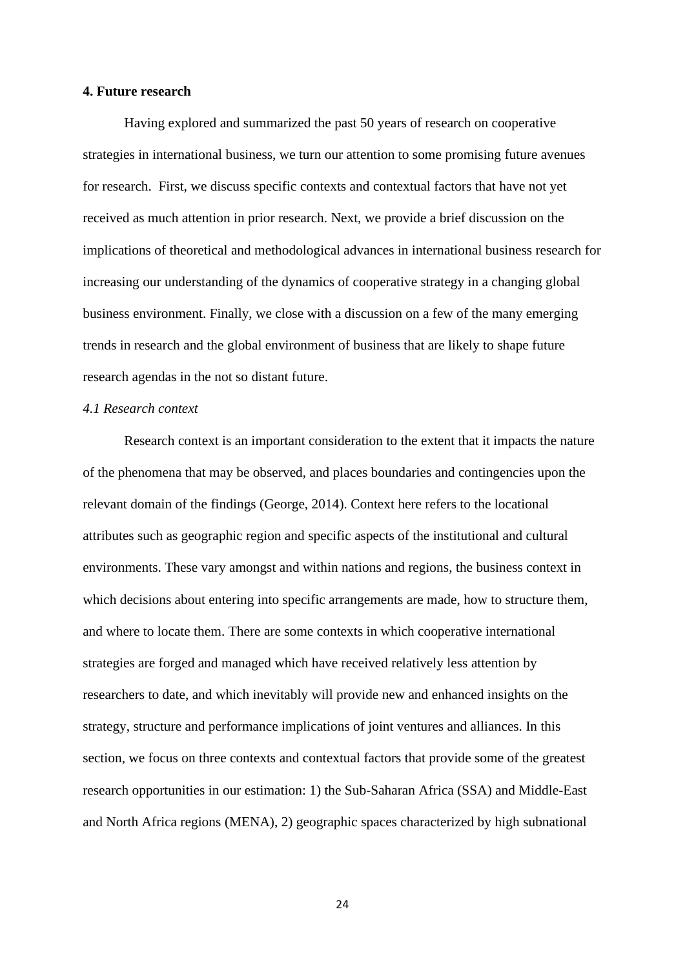#### **4. Future research**

Having explored and summarized the past 50 years of research on cooperative strategies in international business, we turn our attention to some promising future avenues for research. First, we discuss specific contexts and contextual factors that have not yet received as much attention in prior research. Next, we provide a brief discussion on the implications of theoretical and methodological advances in international business research for increasing our understanding of the dynamics of cooperative strategy in a changing global business environment. Finally, we close with a discussion on a few of the many emerging trends in research and the global environment of business that are likely to shape future research agendas in the not so distant future.

#### *4.1 Research context*

Research context is an important consideration to the extent that it impacts the nature of the phenomena that may be observed, and places boundaries and contingencies upon the relevant domain of the findings (George, 2014). Context here refers to the locational attributes such as geographic region and specific aspects of the institutional and cultural environments. These vary amongst and within nations and regions, the business context in which decisions about entering into specific arrangements are made, how to structure them, and where to locate them. There are some contexts in which cooperative international strategies are forged and managed which have received relatively less attention by researchers to date, and which inevitably will provide new and enhanced insights on the strategy, structure and performance implications of joint ventures and alliances. In this section, we focus on three contexts and contextual factors that provide some of the greatest research opportunities in our estimation: 1) the Sub-Saharan Africa (SSA) and Middle-East and North Africa regions (MENA), 2) geographic spaces characterized by high subnational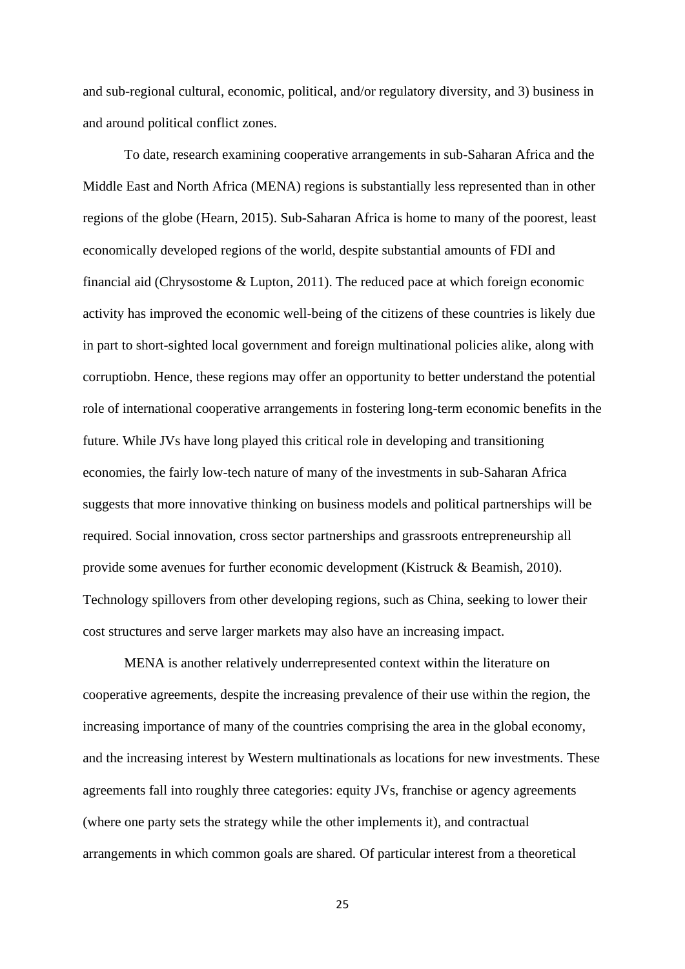and sub-regional cultural, economic, political, and/or regulatory diversity, and 3) business in and around political conflict zones.

To date, research examining cooperative arrangements in sub-Saharan Africa and the Middle East and North Africa (MENA) regions is substantially less represented than in other regions of the globe (Hearn, 2015). Sub-Saharan Africa is home to many of the poorest, least economically developed regions of the world, despite substantial amounts of FDI and financial aid (Chrysostome & Lupton, 2011). The reduced pace at which foreign economic activity has improved the economic well-being of the citizens of these countries is likely due in part to short-sighted local government and foreign multinational policies alike, along with corruptiobn. Hence, these regions may offer an opportunity to better understand the potential role of international cooperative arrangements in fostering long-term economic benefits in the future. While JVs have long played this critical role in developing and transitioning economies, the fairly low-tech nature of many of the investments in sub-Saharan Africa suggests that more innovative thinking on business models and political partnerships will be required. Social innovation, cross sector partnerships and grassroots entrepreneurship all provide some avenues for further economic development (Kistruck & Beamish, 2010). Technology spillovers from other developing regions, such as China, seeking to lower their cost structures and serve larger markets may also have an increasing impact.

MENA is another relatively underrepresented context within the literature on cooperative agreements, despite the increasing prevalence of their use within the region, the increasing importance of many of the countries comprising the area in the global economy, and the increasing interest by Western multinationals as locations for new investments. These agreements fall into roughly three categories: equity JVs, franchise or agency agreements (where one party sets the strategy while the other implements it), and contractual arrangements in which common goals are shared. Of particular interest from a theoretical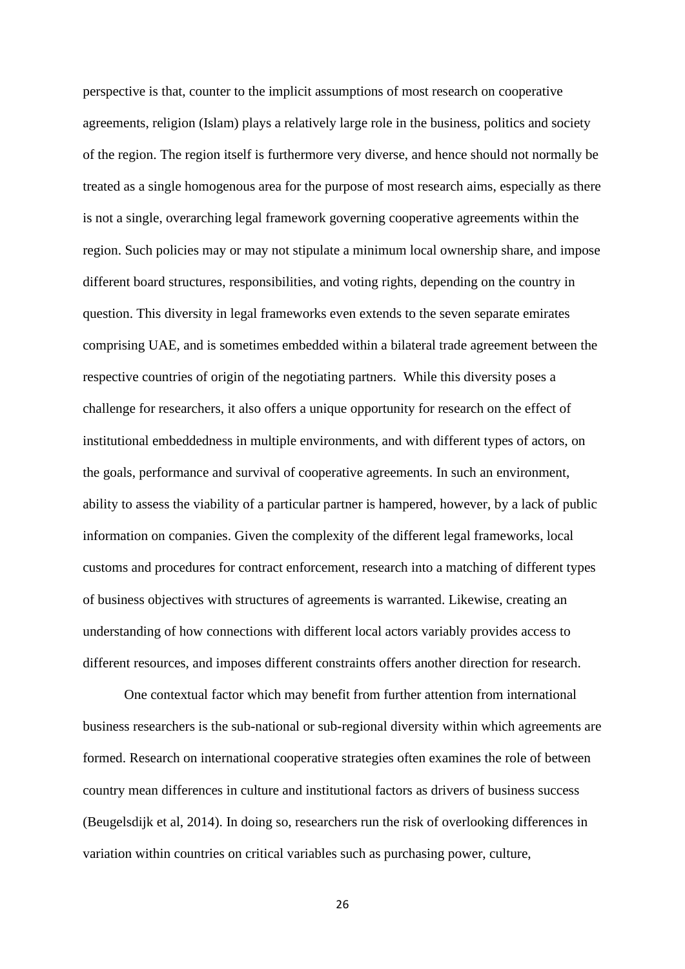perspective is that, counter to the implicit assumptions of most research on cooperative agreements, religion (Islam) plays a relatively large role in the business, politics and society of the region. The region itself is furthermore very diverse, and hence should not normally be treated as a single homogenous area for the purpose of most research aims, especially as there is not a single, overarching legal framework governing cooperative agreements within the region. Such policies may or may not stipulate a minimum local ownership share, and impose different board structures, responsibilities, and voting rights, depending on the country in question. This diversity in legal frameworks even extends to the seven separate emirates comprising UAE, and is sometimes embedded within a bilateral trade agreement between the respective countries of origin of the negotiating partners. While this diversity poses a challenge for researchers, it also offers a unique opportunity for research on the effect of institutional embeddedness in multiple environments, and with different types of actors, on the goals, performance and survival of cooperative agreements. In such an environment, ability to assess the viability of a particular partner is hampered, however, by a lack of public information on companies. Given the complexity of the different legal frameworks, local customs and procedures for contract enforcement, research into a matching of different types of business objectives with structures of agreements is warranted. Likewise, creating an understanding of how connections with different local actors variably provides access to different resources, and imposes different constraints offers another direction for research.

One contextual factor which may benefit from further attention from international business researchers is the sub-national or sub-regional diversity within which agreements are formed. Research on international cooperative strategies often examines the role of between country mean differences in culture and institutional factors as drivers of business success (Beugelsdijk et al, 2014). In doing so, researchers run the risk of overlooking differences in variation within countries on critical variables such as purchasing power, culture,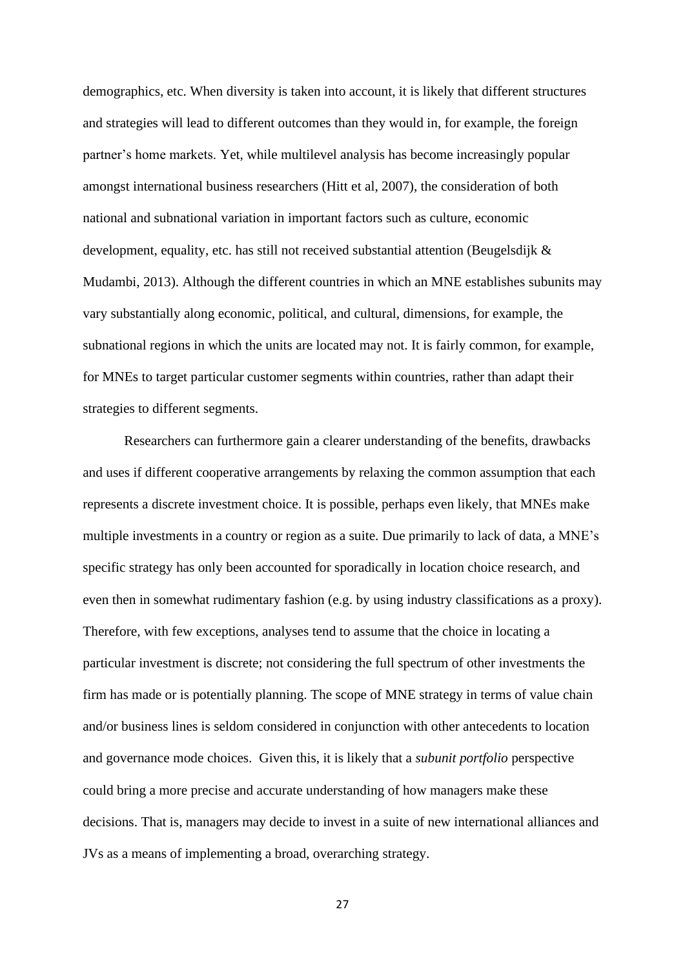demographics, etc. When diversity is taken into account, it is likely that different structures and strategies will lead to different outcomes than they would in, for example, the foreign partner's home markets. Yet, while multilevel analysis has become increasingly popular amongst international business researchers (Hitt et al, 2007), the consideration of both national and subnational variation in important factors such as culture, economic development, equality, etc. has still not received substantial attention (Beugelsdijk & Mudambi, 2013). Although the different countries in which an MNE establishes subunits may vary substantially along economic, political, and cultural, dimensions, for example, the subnational regions in which the units are located may not. It is fairly common, for example, for MNEs to target particular customer segments within countries, rather than adapt their strategies to different segments.

Researchers can furthermore gain a clearer understanding of the benefits, drawbacks and uses if different cooperative arrangements by relaxing the common assumption that each represents a discrete investment choice. It is possible, perhaps even likely, that MNEs make multiple investments in a country or region as a suite. Due primarily to lack of data, a MNE's specific strategy has only been accounted for sporadically in location choice research, and even then in somewhat rudimentary fashion (e.g. by using industry classifications as a proxy). Therefore, with few exceptions, analyses tend to assume that the choice in locating a particular investment is discrete; not considering the full spectrum of other investments the firm has made or is potentially planning. The scope of MNE strategy in terms of value chain and/or business lines is seldom considered in conjunction with other antecedents to location and governance mode choices. Given this, it is likely that a *subunit portfolio* perspective could bring a more precise and accurate understanding of how managers make these decisions. That is, managers may decide to invest in a suite of new international alliances and JVs as a means of implementing a broad, overarching strategy.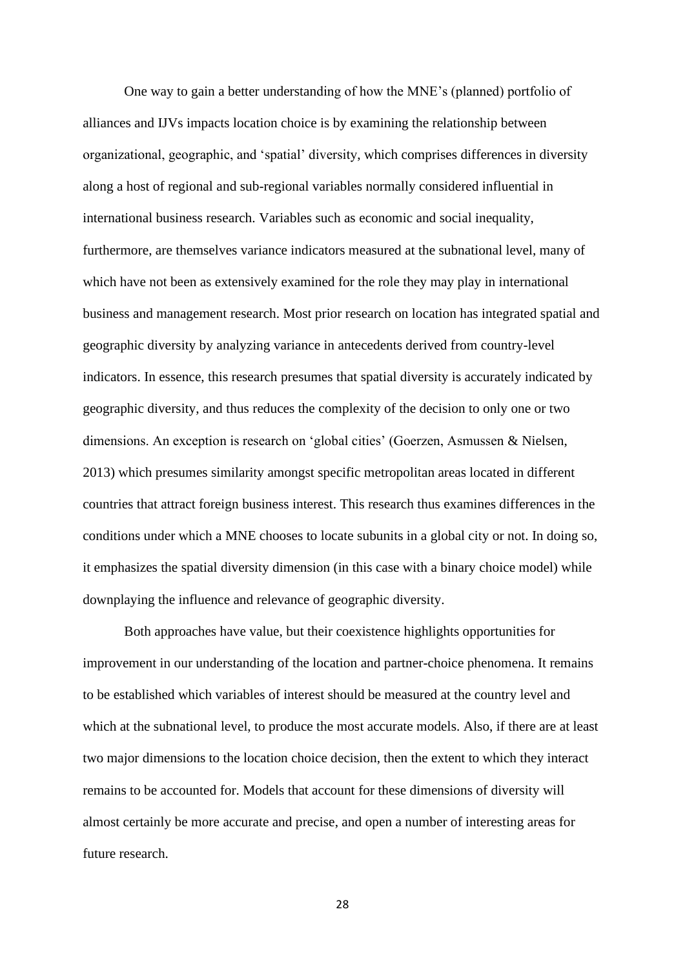One way to gain a better understanding of how the MNE's (planned) portfolio of alliances and IJVs impacts location choice is by examining the relationship between organizational, geographic, and 'spatial' diversity, which comprises differences in diversity along a host of regional and sub-regional variables normally considered influential in international business research. Variables such as economic and social inequality, furthermore, are themselves variance indicators measured at the subnational level, many of which have not been as extensively examined for the role they may play in international business and management research. Most prior research on location has integrated spatial and geographic diversity by analyzing variance in antecedents derived from country-level indicators. In essence, this research presumes that spatial diversity is accurately indicated by geographic diversity, and thus reduces the complexity of the decision to only one or two dimensions. An exception is research on 'global cities' (Goerzen, Asmussen & Nielsen, 2013) which presumes similarity amongst specific metropolitan areas located in different countries that attract foreign business interest. This research thus examines differences in the conditions under which a MNE chooses to locate subunits in a global city or not. In doing so, it emphasizes the spatial diversity dimension (in this case with a binary choice model) while downplaying the influence and relevance of geographic diversity.

Both approaches have value, but their coexistence highlights opportunities for improvement in our understanding of the location and partner-choice phenomena. It remains to be established which variables of interest should be measured at the country level and which at the subnational level, to produce the most accurate models. Also, if there are at least two major dimensions to the location choice decision, then the extent to which they interact remains to be accounted for. Models that account for these dimensions of diversity will almost certainly be more accurate and precise, and open a number of interesting areas for future research.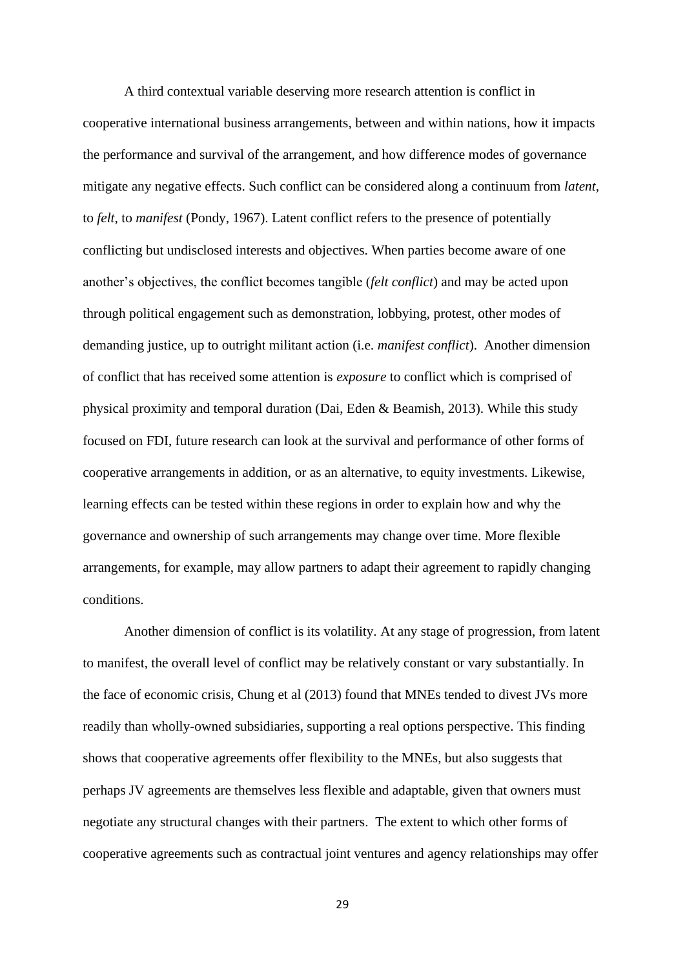A third contextual variable deserving more research attention is conflict in cooperative international business arrangements, between and within nations, how it impacts the performance and survival of the arrangement, and how difference modes of governance mitigate any negative effects. Such conflict can be considered along a continuum from *latent,*  to *felt*, to *manifest* (Pondy, 1967). Latent conflict refers to the presence of potentially conflicting but undisclosed interests and objectives. When parties become aware of one another's objectives, the conflict becomes tangible (*felt conflict*) and may be acted upon through political engagement such as demonstration, lobbying, protest, other modes of demanding justice, up to outright militant action (i.e. *manifest conflict*). Another dimension of conflict that has received some attention is *exposure* to conflict which is comprised of physical proximity and temporal duration (Dai, Eden & Beamish, 2013). While this study focused on FDI, future research can look at the survival and performance of other forms of cooperative arrangements in addition, or as an alternative, to equity investments. Likewise, learning effects can be tested within these regions in order to explain how and why the governance and ownership of such arrangements may change over time. More flexible arrangements, for example, may allow partners to adapt their agreement to rapidly changing conditions.

Another dimension of conflict is its volatility. At any stage of progression, from latent to manifest, the overall level of conflict may be relatively constant or vary substantially. In the face of economic crisis, Chung et al (2013) found that MNEs tended to divest JVs more readily than wholly-owned subsidiaries, supporting a real options perspective. This finding shows that cooperative agreements offer flexibility to the MNEs, but also suggests that perhaps JV agreements are themselves less flexible and adaptable, given that owners must negotiate any structural changes with their partners. The extent to which other forms of cooperative agreements such as contractual joint ventures and agency relationships may offer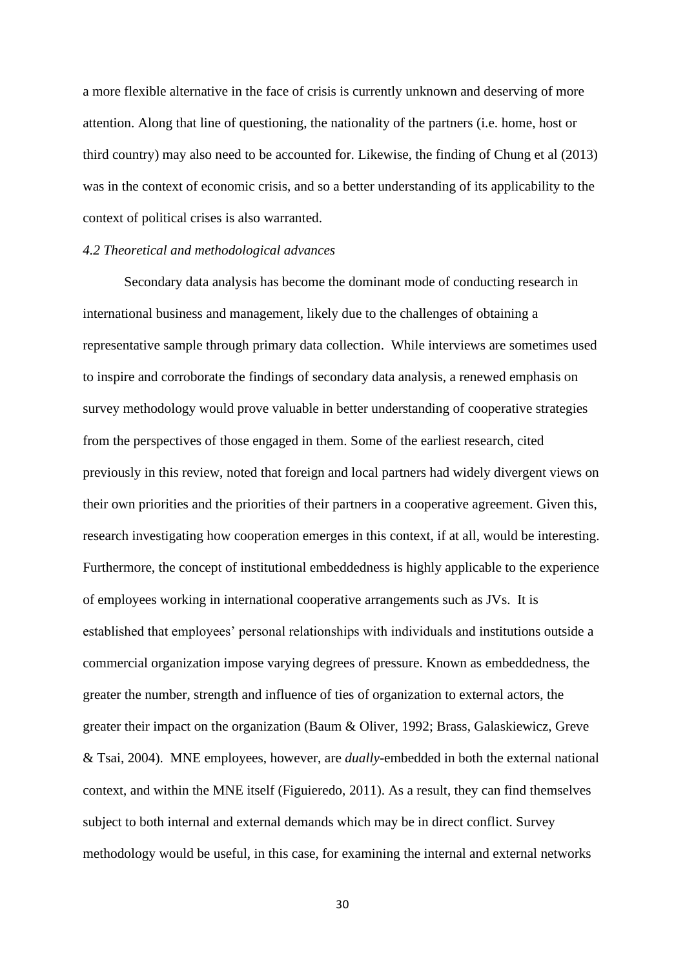a more flexible alternative in the face of crisis is currently unknown and deserving of more attention. Along that line of questioning, the nationality of the partners (i.e. home, host or third country) may also need to be accounted for. Likewise, the finding of Chung et al (2013) was in the context of economic crisis, and so a better understanding of its applicability to the context of political crises is also warranted.

#### *4.2 Theoretical and methodological advances*

Secondary data analysis has become the dominant mode of conducting research in international business and management, likely due to the challenges of obtaining a representative sample through primary data collection. While interviews are sometimes used to inspire and corroborate the findings of secondary data analysis, a renewed emphasis on survey methodology would prove valuable in better understanding of cooperative strategies from the perspectives of those engaged in them. Some of the earliest research, cited previously in this review, noted that foreign and local partners had widely divergent views on their own priorities and the priorities of their partners in a cooperative agreement. Given this, research investigating how cooperation emerges in this context, if at all, would be interesting. Furthermore, the concept of institutional embeddedness is highly applicable to the experience of employees working in international cooperative arrangements such as JVs. It is established that employees' personal relationships with individuals and institutions outside a commercial organization impose varying degrees of pressure. Known as embeddedness, the greater the number, strength and influence of ties of organization to external actors, the greater their impact on the organization (Baum & Oliver, 1992; Brass, Galaskiewicz, Greve & Tsai, 2004). MNE employees, however, are *dually-*embedded in both the external national context, and within the MNE itself (Figuieredo, 2011). As a result, they can find themselves subject to both internal and external demands which may be in direct conflict. Survey methodology would be useful, in this case, for examining the internal and external networks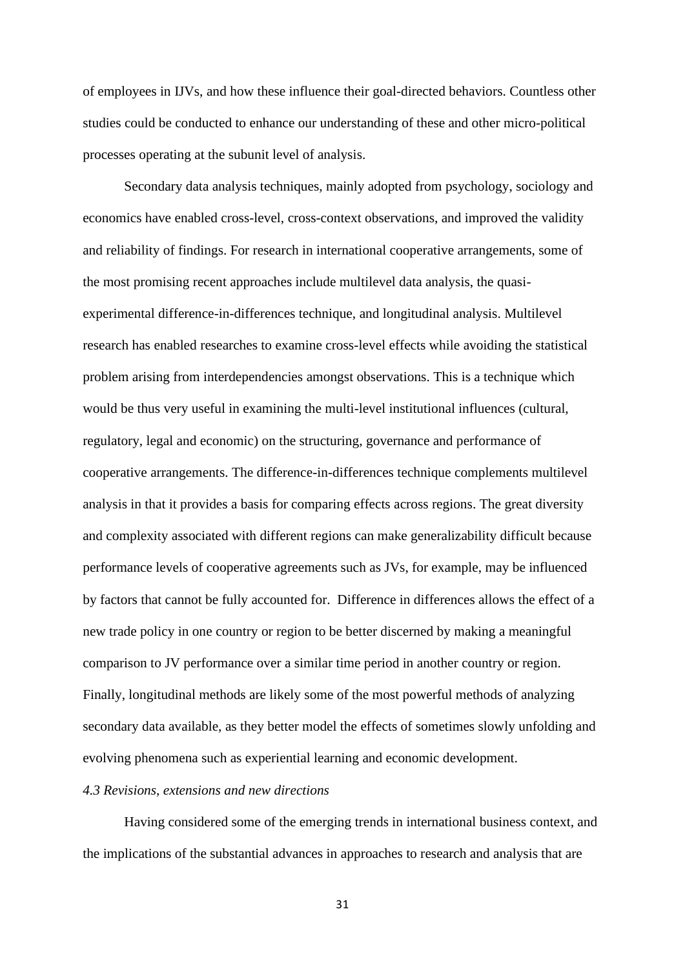of employees in IJVs, and how these influence their goal-directed behaviors. Countless other studies could be conducted to enhance our understanding of these and other micro-political processes operating at the subunit level of analysis.

Secondary data analysis techniques, mainly adopted from psychology, sociology and economics have enabled cross-level, cross-context observations, and improved the validity and reliability of findings. For research in international cooperative arrangements, some of the most promising recent approaches include multilevel data analysis, the quasiexperimental difference-in-differences technique, and longitudinal analysis. Multilevel research has enabled researches to examine cross-level effects while avoiding the statistical problem arising from interdependencies amongst observations. This is a technique which would be thus very useful in examining the multi-level institutional influences (cultural, regulatory, legal and economic) on the structuring, governance and performance of cooperative arrangements. The difference-in-differences technique complements multilevel analysis in that it provides a basis for comparing effects across regions. The great diversity and complexity associated with different regions can make generalizability difficult because performance levels of cooperative agreements such as JVs, for example, may be influenced by factors that cannot be fully accounted for. Difference in differences allows the effect of a new trade policy in one country or region to be better discerned by making a meaningful comparison to JV performance over a similar time period in another country or region. Finally, longitudinal methods are likely some of the most powerful methods of analyzing secondary data available, as they better model the effects of sometimes slowly unfolding and evolving phenomena such as experiential learning and economic development.

## *4.3 Revisions, extensions and new directions*

Having considered some of the emerging trends in international business context, and the implications of the substantial advances in approaches to research and analysis that are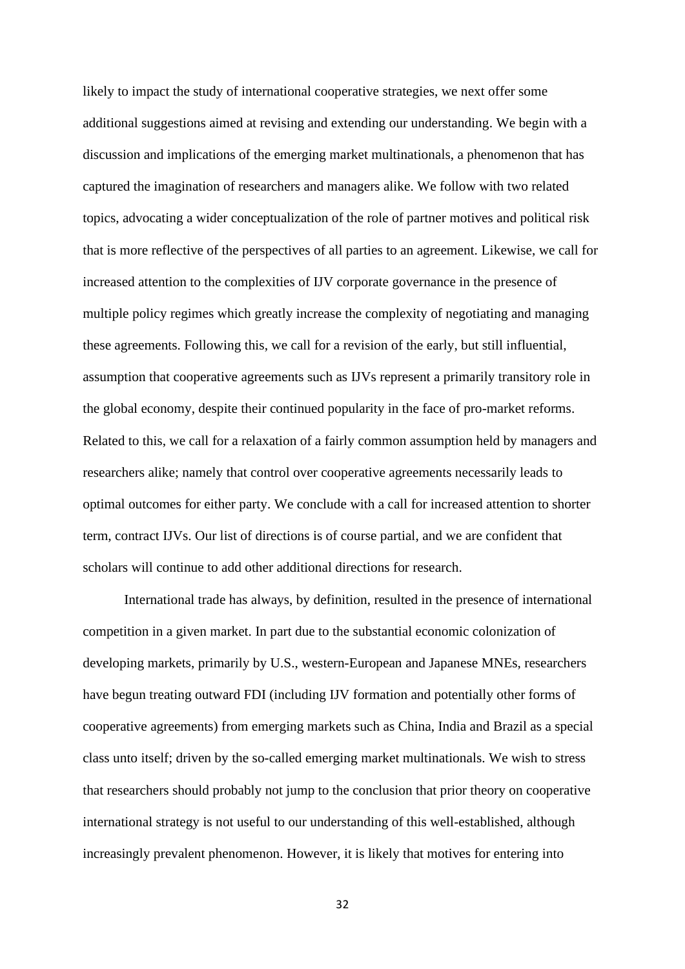likely to impact the study of international cooperative strategies, we next offer some additional suggestions aimed at revising and extending our understanding. We begin with a discussion and implications of the emerging market multinationals, a phenomenon that has captured the imagination of researchers and managers alike. We follow with two related topics, advocating a wider conceptualization of the role of partner motives and political risk that is more reflective of the perspectives of all parties to an agreement. Likewise, we call for increased attention to the complexities of IJV corporate governance in the presence of multiple policy regimes which greatly increase the complexity of negotiating and managing these agreements. Following this, we call for a revision of the early, but still influential, assumption that cooperative agreements such as IJVs represent a primarily transitory role in the global economy, despite their continued popularity in the face of pro-market reforms. Related to this, we call for a relaxation of a fairly common assumption held by managers and researchers alike; namely that control over cooperative agreements necessarily leads to optimal outcomes for either party. We conclude with a call for increased attention to shorter term, contract IJVs. Our list of directions is of course partial, and we are confident that scholars will continue to add other additional directions for research.

International trade has always, by definition, resulted in the presence of international competition in a given market. In part due to the substantial economic colonization of developing markets, primarily by U.S., western-European and Japanese MNEs, researchers have begun treating outward FDI (including IJV formation and potentially other forms of cooperative agreements) from emerging markets such as China, India and Brazil as a special class unto itself; driven by the so-called emerging market multinationals. We wish to stress that researchers should probably not jump to the conclusion that prior theory on cooperative international strategy is not useful to our understanding of this well-established, although increasingly prevalent phenomenon. However, it is likely that motives for entering into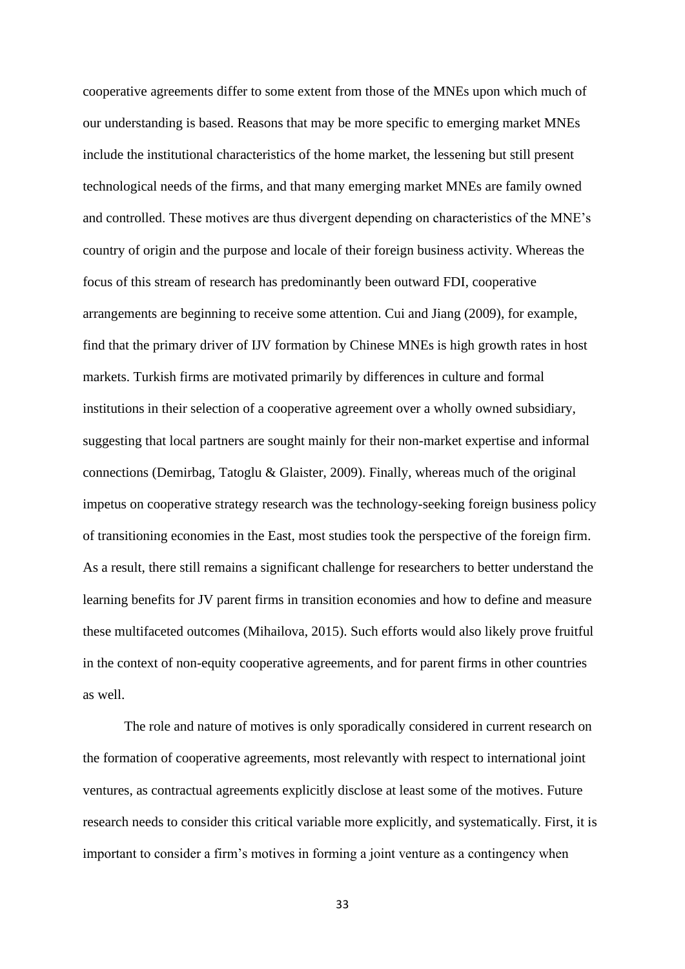cooperative agreements differ to some extent from those of the MNEs upon which much of our understanding is based. Reasons that may be more specific to emerging market MNEs include the institutional characteristics of the home market, the lessening but still present technological needs of the firms, and that many emerging market MNEs are family owned and controlled. These motives are thus divergent depending on characteristics of the MNE's country of origin and the purpose and locale of their foreign business activity. Whereas the focus of this stream of research has predominantly been outward FDI, cooperative arrangements are beginning to receive some attention. Cui and Jiang (2009), for example, find that the primary driver of IJV formation by Chinese MNEs is high growth rates in host markets. Turkish firms are motivated primarily by differences in culture and formal institutions in their selection of a cooperative agreement over a wholly owned subsidiary, suggesting that local partners are sought mainly for their non-market expertise and informal connections (Demirbag, Tatoglu & Glaister, 2009). Finally, whereas much of the original impetus on cooperative strategy research was the technology-seeking foreign business policy of transitioning economies in the East, most studies took the perspective of the foreign firm. As a result, there still remains a significant challenge for researchers to better understand the learning benefits for JV parent firms in transition economies and how to define and measure these multifaceted outcomes (Mihailova, 2015). Such efforts would also likely prove fruitful in the context of non-equity cooperative agreements, and for parent firms in other countries as well.

The role and nature of motives is only sporadically considered in current research on the formation of cooperative agreements, most relevantly with respect to international joint ventures, as contractual agreements explicitly disclose at least some of the motives. Future research needs to consider this critical variable more explicitly, and systematically. First, it is important to consider a firm's motives in forming a joint venture as a contingency when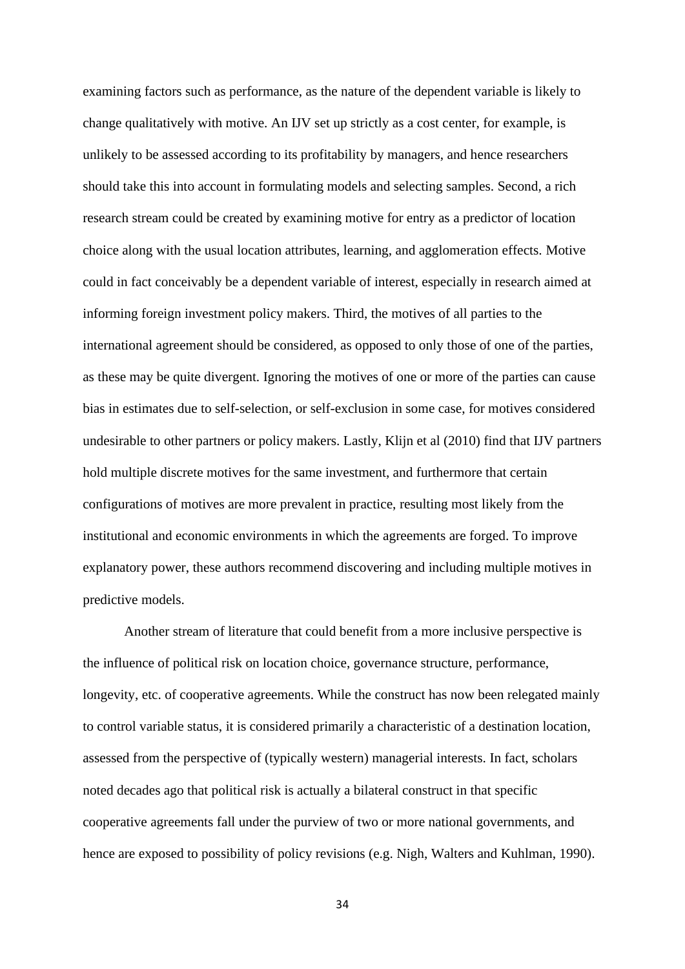examining factors such as performance, as the nature of the dependent variable is likely to change qualitatively with motive. An IJV set up strictly as a cost center, for example, is unlikely to be assessed according to its profitability by managers, and hence researchers should take this into account in formulating models and selecting samples. Second, a rich research stream could be created by examining motive for entry as a predictor of location choice along with the usual location attributes, learning, and agglomeration effects. Motive could in fact conceivably be a dependent variable of interest, especially in research aimed at informing foreign investment policy makers. Third, the motives of all parties to the international agreement should be considered, as opposed to only those of one of the parties, as these may be quite divergent. Ignoring the motives of one or more of the parties can cause bias in estimates due to self-selection, or self-exclusion in some case, for motives considered undesirable to other partners or policy makers. Lastly, Klijn et al (2010) find that IJV partners hold multiple discrete motives for the same investment, and furthermore that certain configurations of motives are more prevalent in practice, resulting most likely from the institutional and economic environments in which the agreements are forged. To improve explanatory power, these authors recommend discovering and including multiple motives in predictive models.

Another stream of literature that could benefit from a more inclusive perspective is the influence of political risk on location choice, governance structure, performance, longevity, etc. of cooperative agreements. While the construct has now been relegated mainly to control variable status, it is considered primarily a characteristic of a destination location, assessed from the perspective of (typically western) managerial interests. In fact, scholars noted decades ago that political risk is actually a bilateral construct in that specific cooperative agreements fall under the purview of two or more national governments, and hence are exposed to possibility of policy revisions (e.g. Nigh, Walters and Kuhlman, 1990).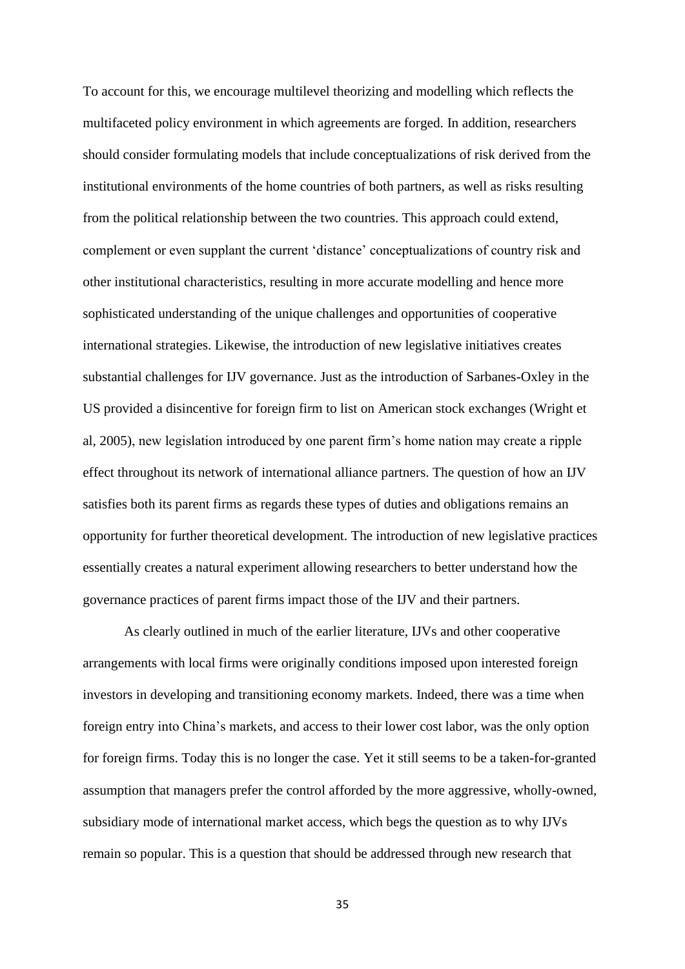To account for this, we encourage multilevel theorizing and modelling which reflects the multifaceted policy environment in which agreements are forged. In addition, researchers should consider formulating models that include conceptualizations of risk derived from the institutional environments of the home countries of both partners, as well as risks resulting from the political relationship between the two countries. This approach could extend, complement or even supplant the current 'distance' conceptualizations of country risk and other institutional characteristics, resulting in more accurate modelling and hence more sophisticated understanding of the unique challenges and opportunities of cooperative international strategies. Likewise, the introduction of new legislative initiatives creates substantial challenges for IJV governance. Just as the introduction of Sarbanes-Oxley in the US provided a disincentive for foreign firm to list on American stock exchanges (Wright et al, 2005), new legislation introduced by one parent firm's home nation may create a ripple effect throughout its network of international alliance partners. The question of how an IJV satisfies both its parent firms as regards these types of duties and obligations remains an opportunity for further theoretical development. The introduction of new legislative practices essentially creates a natural experiment allowing researchers to better understand how the governance practices of parent firms impact those of the IJV and their partners.

As clearly outlined in much of the earlier literature, IJVs and other cooperative arrangements with local firms were originally conditions imposed upon interested foreign investors in developing and transitioning economy markets. Indeed, there was a time when foreign entry into China's markets, and access to their lower cost labor, was the only option for foreign firms. Today this is no longer the case. Yet it still seems to be a taken-for-granted assumption that managers prefer the control afforded by the more aggressive, wholly-owned, subsidiary mode of international market access, which begs the question as to why IJVs remain so popular. This is a question that should be addressed through new research that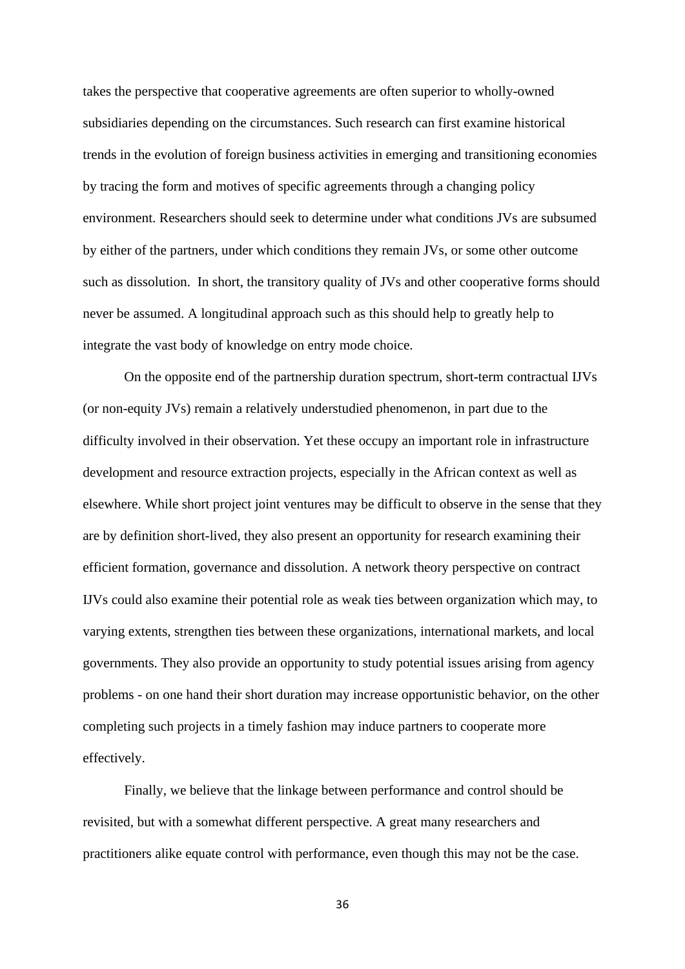takes the perspective that cooperative agreements are often superior to wholly-owned subsidiaries depending on the circumstances. Such research can first examine historical trends in the evolution of foreign business activities in emerging and transitioning economies by tracing the form and motives of specific agreements through a changing policy environment. Researchers should seek to determine under what conditions JVs are subsumed by either of the partners, under which conditions they remain JVs, or some other outcome such as dissolution. In short, the transitory quality of JVs and other cooperative forms should never be assumed. A longitudinal approach such as this should help to greatly help to integrate the vast body of knowledge on entry mode choice.

On the opposite end of the partnership duration spectrum, short-term contractual IJVs (or non-equity JVs) remain a relatively understudied phenomenon, in part due to the difficulty involved in their observation. Yet these occupy an important role in infrastructure development and resource extraction projects, especially in the African context as well as elsewhere. While short project joint ventures may be difficult to observe in the sense that they are by definition short-lived, they also present an opportunity for research examining their efficient formation, governance and dissolution. A network theory perspective on contract IJVs could also examine their potential role as weak ties between organization which may, to varying extents, strengthen ties between these organizations, international markets, and local governments. They also provide an opportunity to study potential issues arising from agency problems - on one hand their short duration may increase opportunistic behavior, on the other completing such projects in a timely fashion may induce partners to cooperate more effectively.

Finally, we believe that the linkage between performance and control should be revisited, but with a somewhat different perspective. A great many researchers and practitioners alike equate control with performance, even though this may not be the case.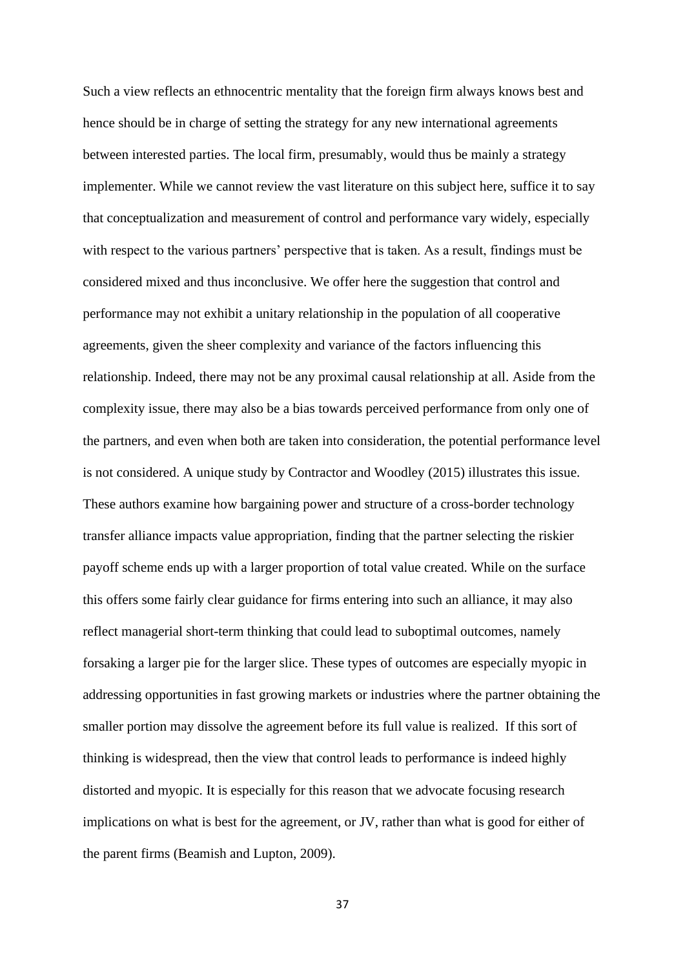Such a view reflects an ethnocentric mentality that the foreign firm always knows best and hence should be in charge of setting the strategy for any new international agreements between interested parties. The local firm, presumably, would thus be mainly a strategy implementer. While we cannot review the vast literature on this subject here, suffice it to say that conceptualization and measurement of control and performance vary widely, especially with respect to the various partners' perspective that is taken. As a result, findings must be considered mixed and thus inconclusive. We offer here the suggestion that control and performance may not exhibit a unitary relationship in the population of all cooperative agreements, given the sheer complexity and variance of the factors influencing this relationship. Indeed, there may not be any proximal causal relationship at all. Aside from the complexity issue, there may also be a bias towards perceived performance from only one of the partners, and even when both are taken into consideration, the potential performance level is not considered. A unique study by Contractor and Woodley (2015) illustrates this issue. These authors examine how bargaining power and structure of a cross-border technology transfer alliance impacts value appropriation, finding that the partner selecting the riskier payoff scheme ends up with a larger proportion of total value created. While on the surface this offers some fairly clear guidance for firms entering into such an alliance, it may also reflect managerial short-term thinking that could lead to suboptimal outcomes, namely forsaking a larger pie for the larger slice. These types of outcomes are especially myopic in addressing opportunities in fast growing markets or industries where the partner obtaining the smaller portion may dissolve the agreement before its full value is realized. If this sort of thinking is widespread, then the view that control leads to performance is indeed highly distorted and myopic. It is especially for this reason that we advocate focusing research implications on what is best for the agreement, or JV, rather than what is good for either of the parent firms (Beamish and Lupton, 2009).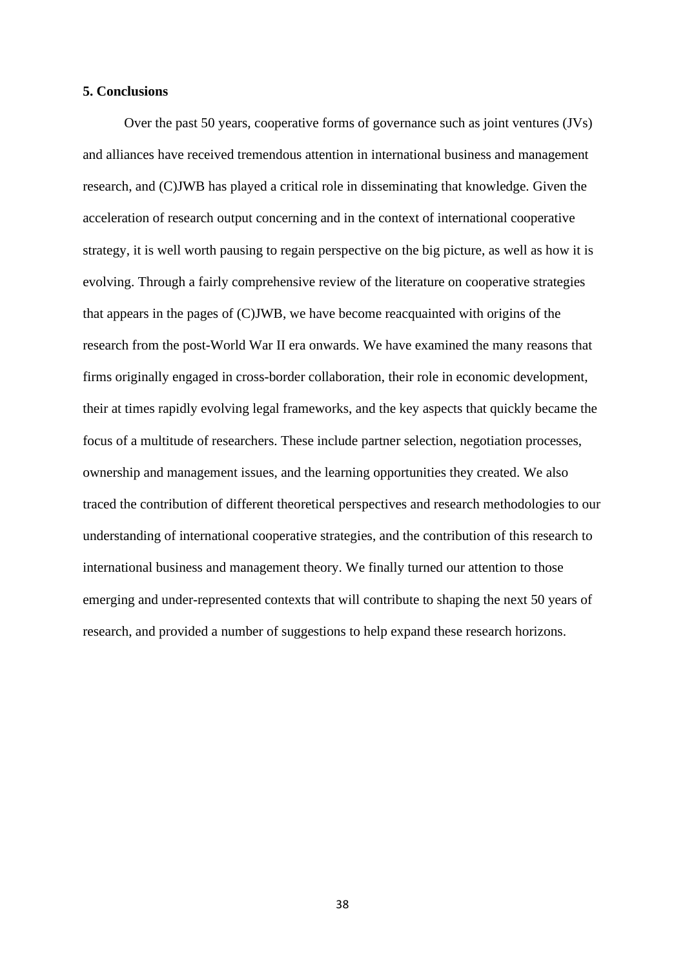#### **5. Conclusions**

Over the past 50 years, cooperative forms of governance such as joint ventures (JVs) and alliances have received tremendous attention in international business and management research, and (C)JWB has played a critical role in disseminating that knowledge. Given the acceleration of research output concerning and in the context of international cooperative strategy, it is well worth pausing to regain perspective on the big picture, as well as how it is evolving. Through a fairly comprehensive review of the literature on cooperative strategies that appears in the pages of (C)JWB, we have become reacquainted with origins of the research from the post-World War II era onwards. We have examined the many reasons that firms originally engaged in cross-border collaboration, their role in economic development, their at times rapidly evolving legal frameworks, and the key aspects that quickly became the focus of a multitude of researchers. These include partner selection, negotiation processes, ownership and management issues, and the learning opportunities they created. We also traced the contribution of different theoretical perspectives and research methodologies to our understanding of international cooperative strategies, and the contribution of this research to international business and management theory. We finally turned our attention to those emerging and under-represented contexts that will contribute to shaping the next 50 years of research, and provided a number of suggestions to help expand these research horizons.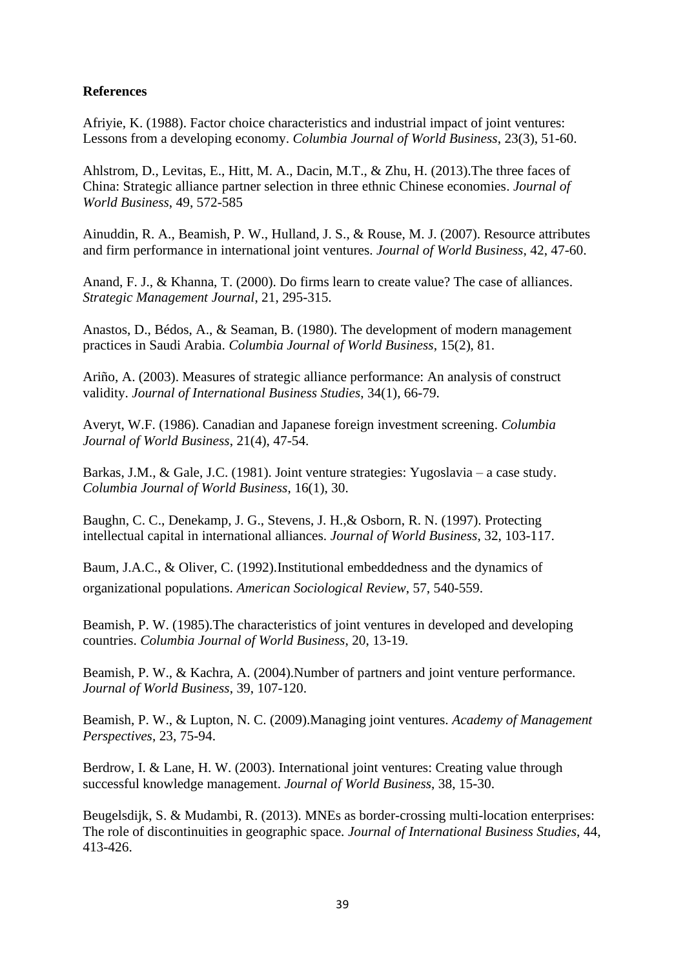# **References**

Afriyie, K. (1988). Factor choice characteristics and industrial impact of joint ventures: Lessons from a developing economy. *Columbia Journal of World Business*, 23(3), 51-60.

Ahlstrom, D., Levitas, E., Hitt, M. A., Dacin, M.T., & Zhu, H. (2013).The three faces of China: Strategic alliance partner selection in three ethnic Chinese economies. *Journal of World Business*, 49, 572-585

Ainuddin, R. A., Beamish, P. W., Hulland, J. S., & Rouse, M. J. (2007). Resource attributes and firm performance in international joint ventures. *Journal of World Business*, 42, 47-60.

Anand, F. J., & Khanna, T. (2000). Do firms learn to create value? The case of alliances. *Strategic Management Journal*, 21, 295-315.

Anastos, D., Bédos, A., & Seaman, B. (1980). The development of modern management practices in Saudi Arabia. *Columbia Journal of World Business*, 15(2), 81.

Ariño, A. (2003). Measures of strategic alliance performance: An analysis of construct validity. *Journal of International Business Studies*, 34(1), 66-79.

Averyt, W.F. (1986). Canadian and Japanese foreign investment screening. *Columbia Journal of World Business*, 21(4), 47-54.

Barkas, J.M., & Gale, J.C. (1981). Joint venture strategies: Yugoslavia – a case study. *Columbia Journal of World Business*, 16(1), 30.

Baughn, C. C., Denekamp, J. G., Stevens, J. H.,& Osborn, R. N. (1997). Protecting intellectual capital in international alliances. *Journal of World Business*, 32, 103-117.

Baum, J.A.C., & Oliver, C. (1992).Institutional embeddedness and the dynamics of organizational populations. *American Sociological Review*, 57, 540-559.

Beamish, P. W. (1985).The characteristics of joint ventures in developed and developing countries. *Columbia Journal of World Business*, 20, 13-19.

Beamish, P. W., & Kachra, A. (2004).Number of partners and joint venture performance. *Journal of World Business*, 39, 107-120.

Beamish, P. W., & Lupton, N. C. (2009).Managing joint ventures. *Academy of Management Perspectives*, 23, 75-94.

Berdrow, I. & Lane, H. W. (2003). International joint ventures: Creating value through successful knowledge management. *Journal of World Business*, 38, 15-30.

Beugelsdijk, S. & Mudambi, R. (2013). MNEs as border-crossing multi-location enterprises: The role of discontinuities in geographic space. *Journal of International Business Studies*, 44, 413-426.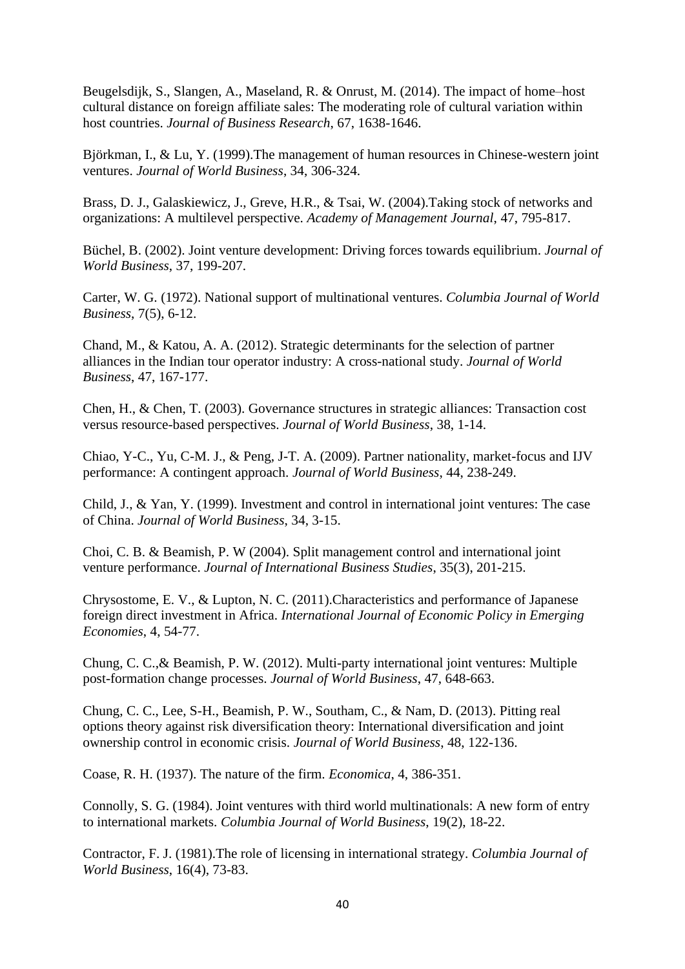Beugelsdijk, S., Slangen, A., Maseland, R. & Onrust, M. (2014). The impact of home–host cultural distance on foreign affiliate sales: The moderating role of cultural variation within host countries. *Journal of Business Research*, 67, 1638-1646.

Björkman, I., & Lu, Y. (1999).The management of human resources in Chinese-western joint ventures. *Journal of World Business*, 34, 306-324.

Brass, D. J., Galaskiewicz, J., Greve, H.R., & Tsai, W. (2004).Taking stock of networks and organizations: A multilevel perspective. *Academy of Management Journal*, 47, 795-817.

Büchel, B. (2002). Joint venture development: Driving forces towards equilibrium. *Journal of World Business*, 37, 199-207.

Carter, W. G. (1972). National support of multinational ventures. *Columbia Journal of World Business*, 7(5), 6-12.

Chand, M., & Katou, A. A. (2012). Strategic determinants for the selection of partner alliances in the Indian tour operator industry: A cross-national study. *Journal of World Business*, 47, 167-177.

Chen, H., & Chen, T. (2003). Governance structures in strategic alliances: Transaction cost versus resource-based perspectives. *Journal of World Business*, 38, 1-14.

Chiao, Y-C., Yu, C-M. J., & Peng, J-T. A. (2009). Partner nationality, market-focus and IJV performance: A contingent approach. *Journal of World Business*, 44, 238-249.

Child, J., & Yan, Y. (1999). Investment and control in international joint ventures: The case of China. *Journal of World Business*, 34, 3-15.

Choi, C. B. & Beamish, P. W (2004). Split management control and international joint venture performance. *Journal of International Business Studies*, 35(3), 201-215.

Chrysostome, E. V., & Lupton, N. C. (2011).Characteristics and performance of Japanese foreign direct investment in Africa. *International Journal of Economic Policy in Emerging Economies*, 4, 54-77.

Chung, C. C.,& Beamish, P. W. (2012). Multi-party international joint ventures: Multiple post-formation change processes. *Journal of World Business*, 47, 648-663.

Chung, C. C., Lee, S-H., Beamish, P. W., Southam, C., & Nam, D. (2013). Pitting real options theory against risk diversification theory: International diversification and joint ownership control in economic crisis. *Journal of World Business*, 48, 122-136.

Coase, R. H. (1937). The nature of the firm. *Economica*, 4, 386-351.

Connolly, S. G. (1984). Joint ventures with third world multinationals: A new form of entry to international markets. *Columbia Journal of World Business*, 19(2), 18-22.

Contractor, F. J. (1981).The role of licensing in international strategy. *Columbia Journal of World Business*, 16(4), 73-83.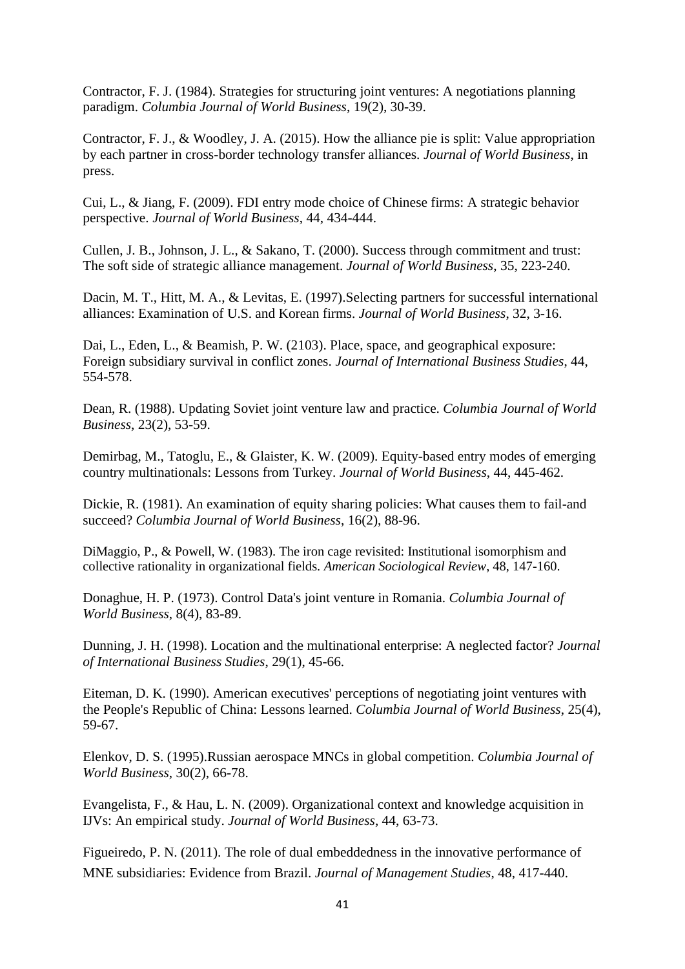Contractor, F. J. (1984). Strategies for structuring joint ventures: A negotiations planning paradigm. *Columbia Journal of World Business*, 19(2), 30-39.

Contractor, F. J., & Woodley, J. A. (2015). How the alliance pie is split: Value appropriation by each partner in cross-border technology transfer alliances. *Journal of World Business*, in press.

Cui, L., & Jiang, F. (2009). FDI entry mode choice of Chinese firms: A strategic behavior perspective. *Journal of World Business*, 44, 434-444.

Cullen, J. B., Johnson, J. L., & Sakano, T. (2000). Success through commitment and trust: The soft side of strategic alliance management. *Journal of World Business*, 35, 223-240.

Dacin, M. T., Hitt, M. A., & Levitas, E. (1997).Selecting partners for successful international alliances: Examination of U.S. and Korean firms. *Journal of World Business*, 32, 3-16.

Dai, L., Eden, L., & Beamish, P. W. (2103). Place, space, and geographical exposure: Foreign subsidiary survival in conflict zones. *Journal of International Business Studies*, 44, 554-578.

Dean, R. (1988). Updating Soviet joint venture law and practice. *Columbia Journal of World Business*, 23(2), 53-59.

Demirbag, M., Tatoglu, E., & Glaister, K. W. (2009). Equity-based entry modes of emerging country multinationals: Lessons from Turkey. *Journal of World Business*, 44, 445-462.

Dickie, R. (1981). An examination of equity sharing policies: What causes them to fail-and succeed? *Columbia Journal of World Business*, 16(2), 88-96.

DiMaggio, P., & Powell, W. (1983). The iron cage revisited: Institutional isomorphism and collective rationality in organizational fields. *American Sociological Review*, 48, 147-160.

Donaghue, H. P. (1973). Control Data's joint venture in Romania. *Columbia Journal of World Business*, 8(4), 83-89.

Dunning, J. H. (1998). Location and the multinational enterprise: A neglected factor? *Journal of International Business Studies*, 29(1), 45-66.

Eiteman, D. K. (1990). American executives' perceptions of negotiating joint ventures with the People's Republic of China: Lessons learned. *Columbia Journal of World Business*, 25(4), 59-67.

Elenkov, D. S. (1995).Russian aerospace MNCs in global competition. *Columbia Journal of World Business*, 30(2), 66-78.

Evangelista, F., & Hau, L. N. (2009). Organizational context and knowledge acquisition in IJVs: An empirical study. *Journal of World Business*, 44, 63-73.

Figueiredo, P. N. (2011). The role of dual embeddedness in the innovative performance of MNE subsidiaries: Evidence from Brazil. *Journal of Management Studies*, 48, 417-440.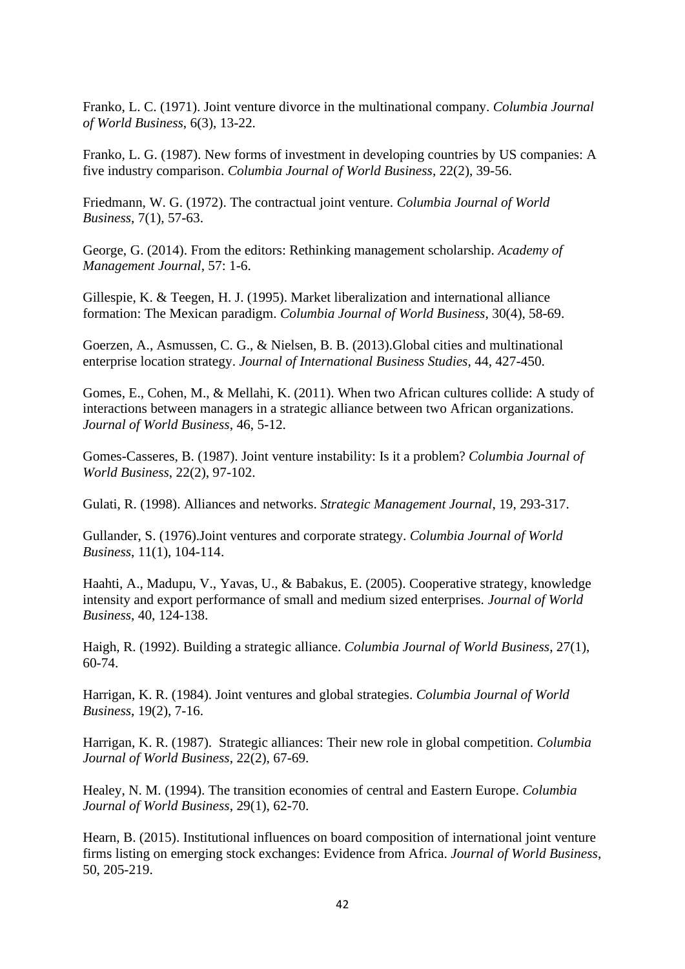Franko, L. C. (1971). Joint venture divorce in the multinational company. *Columbia Journal of World Business*, 6(3), 13-22.

Franko, L. G. (1987). New forms of investment in developing countries by US companies: A five industry comparison. *Columbia Journal of World Business*, 22(2), 39-56.

Friedmann, W. G. (1972). The contractual joint venture. *Columbia Journal of World Business*, 7(1), 57-63.

George, G. (2014). From the editors: Rethinking management scholarship. *Academy of Management Journal*, 57: 1-6.

Gillespie, K. & Teegen, H. J. (1995). Market liberalization and international alliance formation: The Mexican paradigm. *Columbia Journal of World Business*, 30(4), 58-69.

Goerzen, A., Asmussen, C. G., & Nielsen, B. B. (2013).Global cities and multinational enterprise location strategy. *Journal of International Business Studies*, 44, 427-450.

Gomes, E., Cohen, M., & Mellahi, K. (2011). When two African cultures collide: A study of interactions between managers in a strategic alliance between two African organizations. *Journal of World Business*, 46, 5-12.

Gomes-Casseres, B. (1987). Joint venture instability: Is it a problem? *Columbia Journal of World Business*, 22(2), 97-102.

Gulati, R. (1998). Alliances and networks. *Strategic Management Journal*, 19, 293-317.

Gullander, S. (1976).Joint ventures and corporate strategy. *Columbia Journal of World Business*, 11(1), 104-114.

Haahti, A., Madupu, V., Yavas, U., & Babakus, E. (2005). Cooperative strategy, knowledge intensity and export performance of small and medium sized enterprises. *Journal of World Business*, 40, 124-138.

Haigh, R. (1992). Building a strategic alliance. *Columbia Journal of World Business*, 27(1), 60-74.

Harrigan, K. R. (1984). Joint ventures and global strategies. *Columbia Journal of World Business*, 19(2), 7-16.

Harrigan, K. R. (1987). Strategic alliances: Their new role in global competition. *Columbia Journal of World Business*, 22(2), 67-69.

Healey, N. M. (1994). The transition economies of central and Eastern Europe. *Columbia Journal of World Business*, 29(1), 62-70.

Hearn, B. (2015). Institutional influences on board composition of international joint venture firms listing on emerging stock exchanges: Evidence from Africa. *Journal of World Business*, 50, 205-219.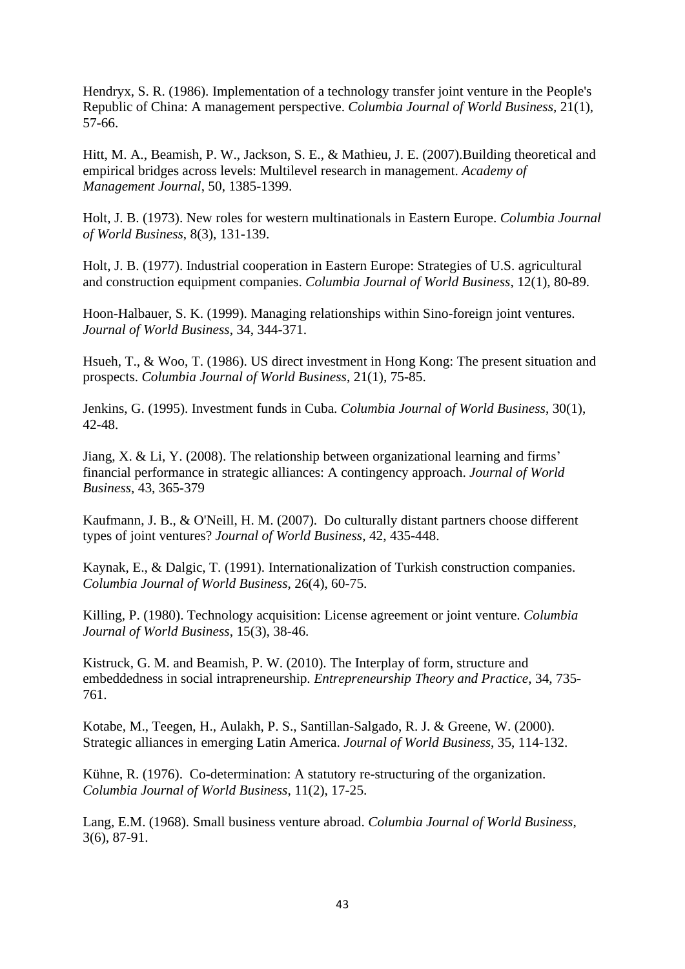Hendryx, S. R. (1986). Implementation of a technology transfer joint venture in the People's Republic of China: A management perspective. *Columbia Journal of World Business*, 21(1), 57-66.

Hitt, M. A., Beamish, P. W., Jackson, S. E., & Mathieu, J. E. (2007).Building theoretical and empirical bridges across levels: Multilevel research in management. *Academy of Management Journal*, 50, 1385-1399.

Holt, J. B. (1973). New roles for western multinationals in Eastern Europe. *Columbia Journal of World Business*, 8(3), 131-139.

Holt, J. B. (1977). Industrial cooperation in Eastern Europe: Strategies of U.S. agricultural and construction equipment companies. *Columbia Journal of World Business*, 12(1), 80-89.

Hoon-Halbauer, S. K. (1999). Managing relationships within Sino-foreign joint ventures. *Journal of World Business*, 34, 344-371.

Hsueh, T., & Woo, T. (1986). US direct investment in Hong Kong: The present situation and prospects. *Columbia Journal of World Business*, 21(1), 75-85.

Jenkins, G. (1995). Investment funds in Cuba. *Columbia Journal of World Business*, 30(1), 42-48.

Jiang, X. & Li, Y. (2008). The relationship between organizational learning and firms' financial performance in strategic alliances: A contingency approach. *Journal of World Business*, 43, 365-379

Kaufmann, J. B., & O'Neill, H. M. (2007). Do culturally distant partners choose different types of joint ventures? *Journal of World Business*, 42, 435-448.

Kaynak, E., & Dalgic, T. (1991). Internationalization of Turkish construction companies. *Columbia Journal of World Business*, 26(4), 60-75.

Killing, P. (1980). Technology acquisition: License agreement or joint venture. *Columbia Journal of World Business*, 15(3), 38-46.

Kistruck, G. M. and Beamish, P. W. (2010). The Interplay of form, structure and embeddedness in social intrapreneurship. *Entrepreneurship Theory and Practice*, 34, 735- 761.

Kotabe, M., Teegen, H., Aulakh, P. S., Santillan-Salgado, R. J. & Greene, W. (2000). Strategic alliances in emerging Latin America. *Journal of World Business*, 35, 114-132.

Kühne, R. (1976). Co-determination: A statutory re-structuring of the organization. *Columbia Journal of World Business*, 11(2), 17-25.

Lang, E.M. (1968). Small business venture abroad. *Columbia Journal of World Business*, 3(6), 87-91.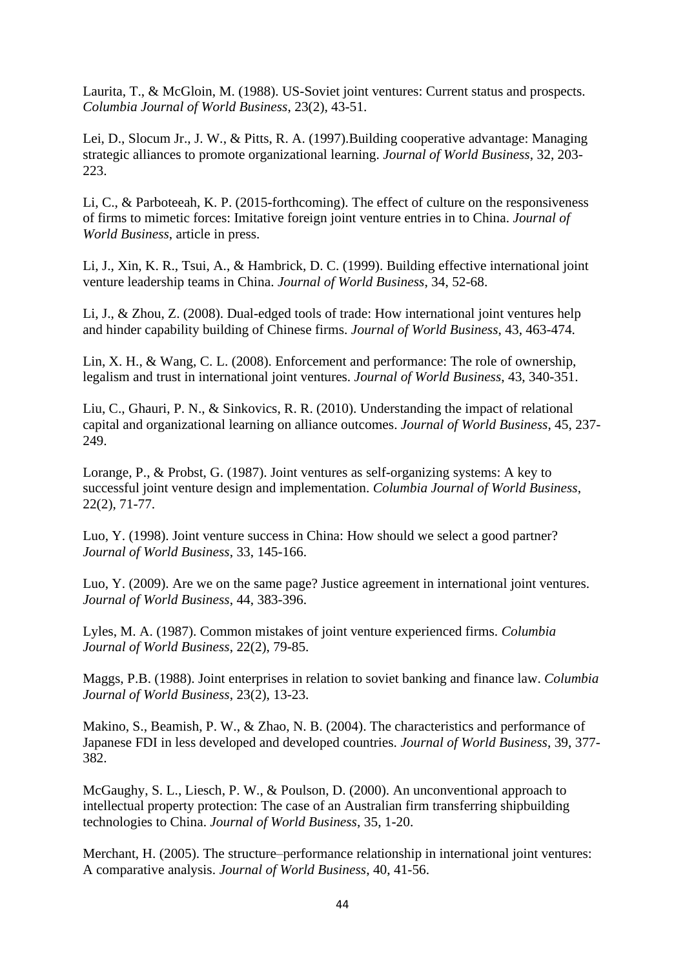Laurita, T., & McGloin, M. (1988). US-Soviet joint ventures: Current status and prospects. *Columbia Journal of World Business*, 23(2), 43-51.

Lei, D., Slocum Jr., J. W., & Pitts, R. A. (1997).Building cooperative advantage: Managing strategic alliances to promote organizational learning. *Journal of World Business*, 32, 203- 223.

Li, C., & Parboteeah, K. P. (2015-forthcoming). The effect of culture on the responsiveness of firms to mimetic forces: Imitative foreign joint venture entries in to China. *Journal of World Business*, article in press.

Li, J., Xin, K. R., Tsui, A., & Hambrick, D. C. (1999). Building effective international joint venture leadership teams in China. *Journal of World Business*, 34, 52-68.

Li, J., & Zhou, Z. (2008). Dual-edged tools of trade: How international joint ventures help and hinder capability building of Chinese firms. *Journal of World Business*, 43, 463-474.

Lin, X. H., & Wang, C. L. (2008). Enforcement and performance: The role of ownership, legalism and trust in international joint ventures. *Journal of World Business*, 43, 340-351.

Liu, C., Ghauri, P. N., & Sinkovics, R. R. (2010). Understanding the impact of relational capital and organizational learning on alliance outcomes. *Journal of World Business*, 45, 237- 249.

Lorange, P., & Probst, G. (1987). Joint ventures as self-organizing systems: A key to successful joint venture design and implementation. *Columbia Journal of World Business*, 22(2), 71-77.

Luo, Y. (1998). Joint venture success in China: How should we select a good partner? *Journal of World Business*, 33, 145-166.

Luo, Y. (2009). Are we on the same page? Justice agreement in international joint ventures. *Journal of World Business*, 44, 383-396.

Lyles, M. A. (1987). Common mistakes of joint venture experienced firms. *Columbia Journal of World Business*, 22(2), 79-85.

Maggs, P.B. (1988). Joint enterprises in relation to soviet banking and finance law. *Columbia Journal of World Business*, 23(2), 13-23.

Makino, S., Beamish, P. W., & Zhao, N. B. (2004). The characteristics and performance of Japanese FDI in less developed and developed countries. *Journal of World Business*, 39, 377- 382.

McGaughy, S. L., Liesch, P. W., & Poulson, D. (2000). An unconventional approach to intellectual property protection: The case of an Australian firm transferring shipbuilding technologies to China. *Journal of World Business*, 35, 1-20.

Merchant, H. (2005). The structure–performance relationship in international joint ventures: A comparative analysis. *Journal of World Business*, 40, 41-56.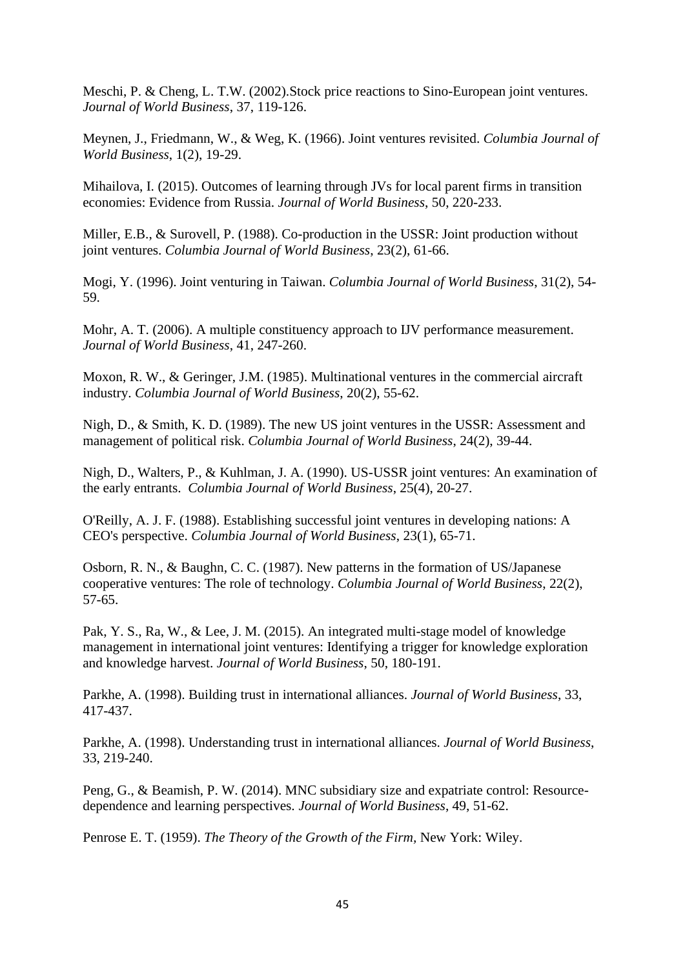Meschi, P. & Cheng, L. T.W. (2002).Stock price reactions to Sino-European joint ventures. *Journal of World Business*, 37, 119-126.

Meynen, J., Friedmann, W., & Weg, K. (1966). Joint ventures revisited. *Columbia Journal of World Business*, 1(2), 19-29.

Mihailova, I. (2015). Outcomes of learning through JVs for local parent firms in transition economies: Evidence from Russia. *Journal of World Business*, 50, 220-233.

Miller, E.B., & Surovell, P. (1988). Co-production in the USSR: Joint production without joint ventures. *Columbia Journal of World Business*, 23(2), 61-66.

Mogi, Y. (1996). Joint venturing in Taiwan. *Columbia Journal of World Business*, 31(2), 54- 59.

Mohr, A. T. (2006). A multiple constituency approach to IJV performance measurement. *Journal of World Business*, 41, 247-260.

Moxon, R. W., & Geringer, J.M. (1985). Multinational ventures in the commercial aircraft industry. *Columbia Journal of World Business*, 20(2), 55-62.

Nigh, D., & Smith, K. D. (1989). The new US joint ventures in the USSR: Assessment and management of political risk. *Columbia Journal of World Business*, 24(2), 39-44.

Nigh, D., Walters, P., & Kuhlman, J. A. (1990). US-USSR joint ventures: An examination of the early entrants. *Columbia Journal of World Business*, 25(4), 20-27.

O'Reilly, A. J. F. (1988). Establishing successful joint ventures in developing nations: A CEO's perspective. *Columbia Journal of World Business*, 23(1), 65-71.

Osborn, R. N., & Baughn, C. C. (1987). New patterns in the formation of US/Japanese cooperative ventures: The role of technology. *Columbia Journal of World Business*, 22(2), 57-65.

Pak, Y. S., Ra, W., & Lee, J. M. (2015). An integrated multi-stage model of knowledge management in international joint ventures: Identifying a trigger for knowledge exploration and knowledge harvest. *Journal of World Business*, 50, 180-191.

Parkhe, A. (1998). Building trust in international alliances. *Journal of World Business*, 33, 417-437.

Parkhe, A. (1998). Understanding trust in international alliances. *Journal of World Business*, 33, 219-240.

Peng, G., & Beamish, P. W. (2014). MNC subsidiary size and expatriate control: Resourcedependence and learning perspectives. *Journal of World Business*, 49, 51-62.

Penrose E. T. (1959). *The Theory of the Growth of the Firm,* New York: Wiley.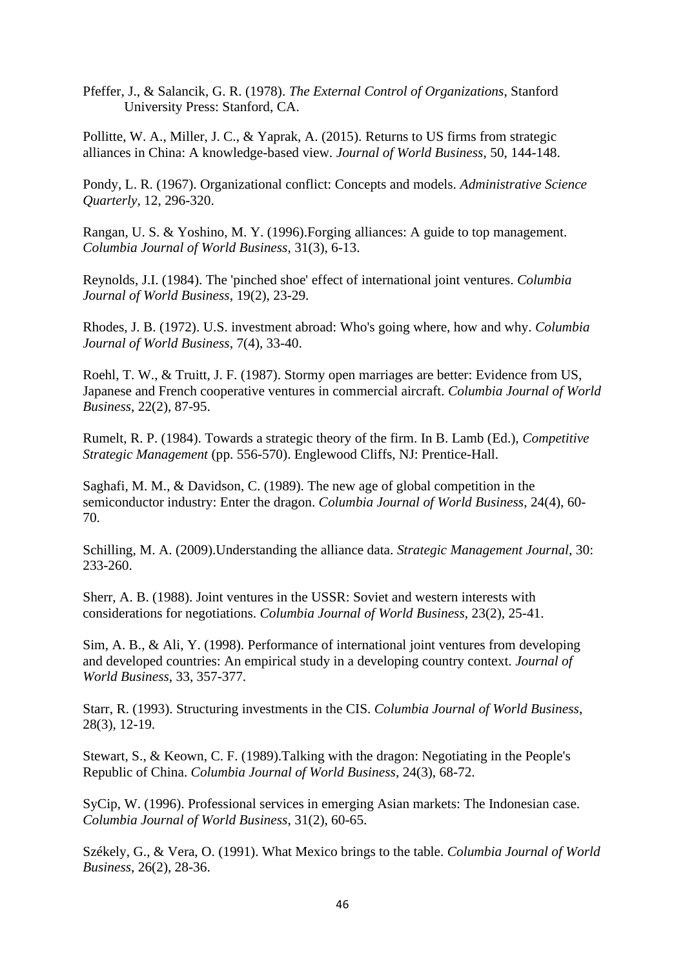Pfeffer, J., & Salancik, G. R. (1978). *The External Control of Organizations*, Stanford University Press: Stanford, CA.

Pollitte, W. A., Miller, J. C., & Yaprak, A. (2015). Returns to US firms from strategic alliances in China: A knowledge-based view. *Journal of World Business*, 50, 144-148.

Pondy, L. R. (1967). Organizational conflict: Concepts and models. *Administrative Science Quarterly,* 12, 296-320.

Rangan, U. S. & Yoshino, M. Y. (1996).Forging alliances: A guide to top management. *Columbia Journal of World Business*, 31(3), 6-13.

Reynolds, J.I. (1984). The 'pinched shoe' effect of international joint ventures. *Columbia Journal of World Business*, 19(2), 23-29.

Rhodes, J. B. (1972). U.S. investment abroad: Who's going where, how and why. *Columbia Journal of World Business*, 7(4), 33-40.

Roehl, T. W., & Truitt, J. F. (1987). Stormy open marriages are better: Evidence from US, Japanese and French cooperative ventures in commercial aircraft. *Columbia Journal of World Business*, 22(2), 87-95.

Rumelt, R. P. (1984). Towards a strategic theory of the firm. In B. Lamb (Ed.), *Competitive Strategic Management* (pp. 556-570). Englewood Cliffs, NJ: Prentice-Hall.

Saghafi, M. M., & Davidson, C. (1989). The new age of global competition in the semiconductor industry: Enter the dragon. *Columbia Journal of World Business*, 24(4), 60- 70.

Schilling, M. A. (2009).Understanding the alliance data. *Strategic Management Journal*, 30: 233-260.

Sherr, A. B. (1988). Joint ventures in the USSR: Soviet and western interests with considerations for negotiations. *Columbia Journal of World Business*, 23(2), 25-41.

Sim, A. B., & Ali, Y. (1998). Performance of international joint ventures from developing and developed countries: An empirical study in a developing country context. *Journal of World Business*, 33, 357-377.

Starr, R. (1993). Structuring investments in the CIS. *Columbia Journal of World Business*, 28(3), 12-19.

Stewart, S., & Keown, C. F. (1989).Talking with the dragon: Negotiating in the People's Republic of China. *Columbia Journal of World Business*, 24(3), 68-72.

SyCip, W. (1996). Professional services in emerging Asian markets: The Indonesian case. *Columbia Journal of World Business*, 31(2), 60-65.

Székely, G., & Vera, O. (1991). What Mexico brings to the table. *Columbia Journal of World Business*, 26(2), 28-36.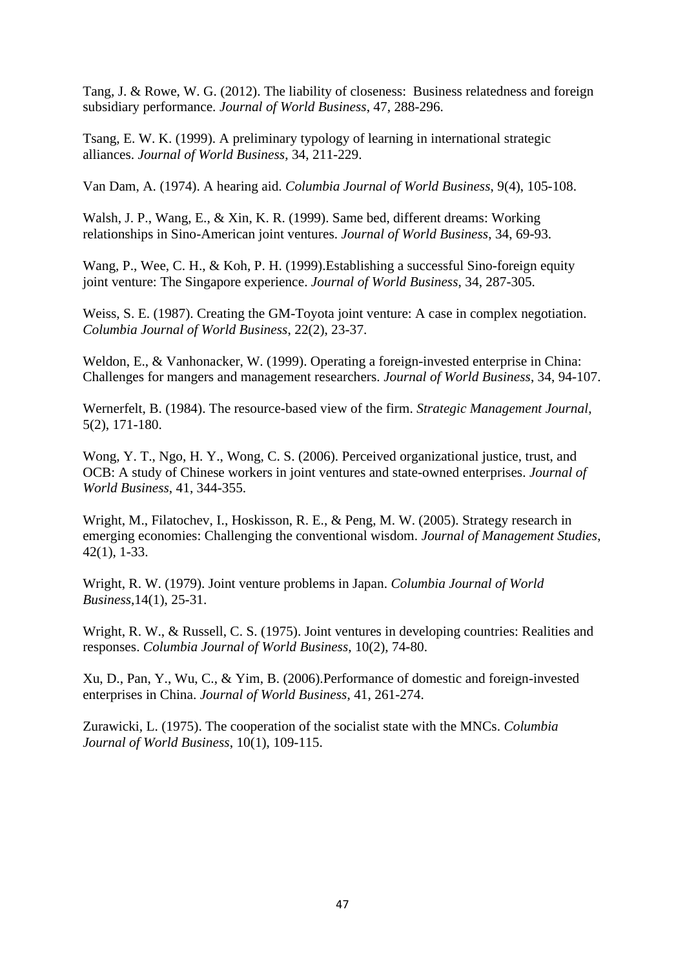Tang, J. & Rowe, W. G. (2012). The liability of closeness: Business relatedness and foreign subsidiary performance. *Journal of World Business*, 47, 288-296.

Tsang, E. W. K. (1999). A preliminary typology of learning in international strategic alliances. *Journal of World Business*, 34, 211-229.

Van Dam, A. (1974). A hearing aid. *Columbia Journal of World Business*, 9(4), 105-108.

Walsh, J. P., Wang, E., & Xin, K. R. (1999). Same bed, different dreams: Working relationships in Sino-American joint ventures. *Journal of World Business*, 34, 69-93.

Wang, P., Wee, C. H., & Koh, P. H. (1999).Establishing a successful Sino-foreign equity joint venture: The Singapore experience. *Journal of World Business*, 34, 287-305.

Weiss, S. E. (1987). Creating the GM-Toyota joint venture: A case in complex negotiation. *Columbia Journal of World Business*, 22(2), 23-37.

Weldon, E., & Vanhonacker, W. (1999). Operating a foreign-invested enterprise in China: Challenges for mangers and management researchers. *Journal of World Business*, 34, 94-107.

Wernerfelt, B. (1984). The resource-based view of the firm. *Strategic Management Journal*, 5(2), 171-180.

Wong, Y. T., Ngo, H. Y., Wong, C. S. (2006). Perceived organizational justice, trust, and OCB: A study of Chinese workers in joint ventures and state-owned enterprises. *Journal of World Business*, 41, 344-355.

Wright, M., Filatochev, I., Hoskisson, R. E., & Peng, M. W. (2005). Strategy research in emerging economies: Challenging the conventional wisdom. *Journal of Management Studies*, 42(1), 1-33.

Wright, R. W. (1979). Joint venture problems in Japan. *Columbia Journal of World Business*,14(1), 25-31.

Wright, R. W., & Russell, C. S. (1975). Joint ventures in developing countries: Realities and responses. *Columbia Journal of World Business*, 10(2), 74-80.

Xu, D., Pan, Y., Wu, C., & Yim, B. (2006).Performance of domestic and foreign-invested enterprises in China. *Journal of World Business*, 41, 261-274.

Zurawicki, L. (1975). The cooperation of the socialist state with the MNCs. *Columbia Journal of World Business*, 10(1), 109-115.